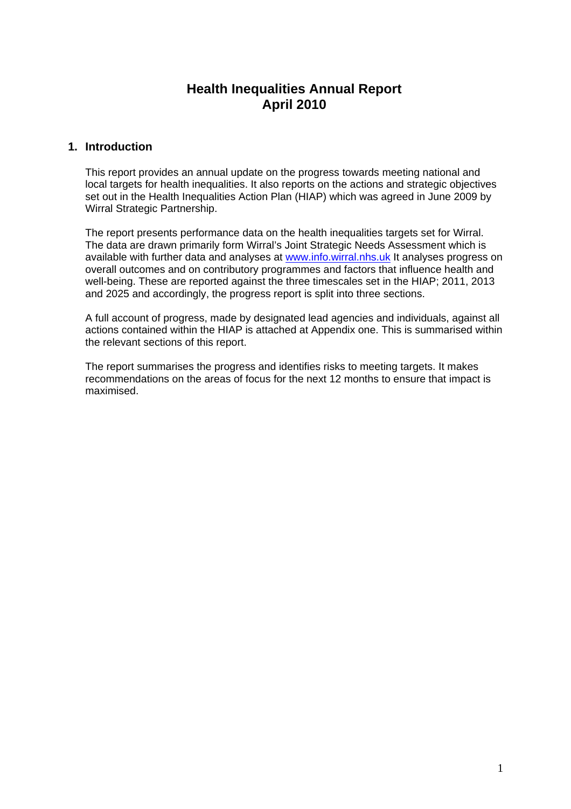# **Health Inequalities Annual Report April 2010**

## **1. Introduction**

This report provides an annual update on the progress towards meeting national and local targets for health inequalities. It also reports on the actions and strategic objectives set out in the Health Inequalities Action Plan (HIAP) which was agreed in June 2009 by Wirral Strategic Partnership.

The report presents performance data on the health inequalities targets set for Wirral. The data are drawn primarily form Wirral's Joint Strategic Needs Assessment which is available with further data and analyses at www.info.wirral.nhs.uk It analyses progress on overall outcomes and on contributory programmes and factors that influence health and well-being. These are reported against the three timescales set in the HIAP; 2011, 2013 and 2025 and accordingly, the progress report is split into three sections.

A full account of progress, made by designated lead agencies and individuals, against all actions contained within the HIAP is attached at Appendix one. This is summarised within the relevant sections of this report.

The report summarises the progress and identifies risks to meeting targets. It makes recommendations on the areas of focus for the next 12 months to ensure that impact is maximised.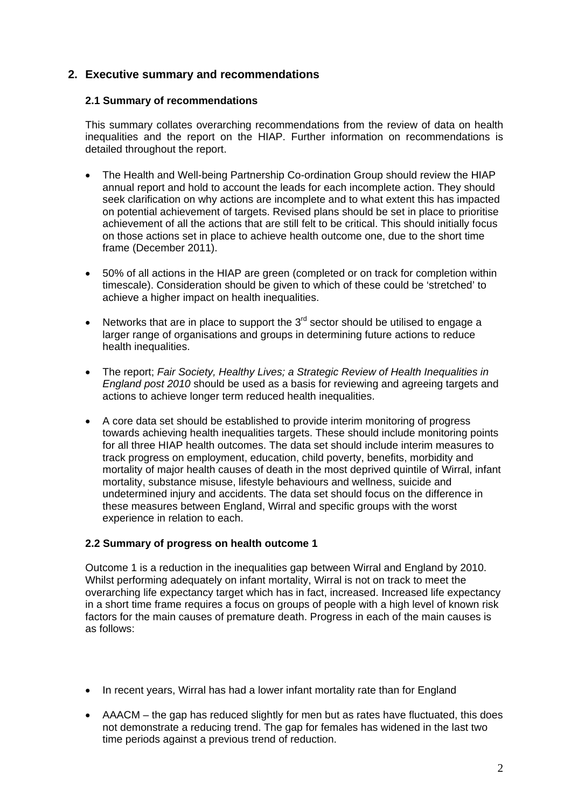# **2. Executive summary and recommendations**

#### **2.1 Summary of recommendations**

This summary collates overarching recommendations from the review of data on health inequalities and the report on the HIAP. Further information on recommendations is detailed throughout the report.

- The Health and Well-being Partnership Co-ordination Group should review the HIAP annual report and hold to account the leads for each incomplete action. They should seek clarification on why actions are incomplete and to what extent this has impacted on potential achievement of targets. Revised plans should be set in place to prioritise achievement of all the actions that are still felt to be critical. This should initially focus on those actions set in place to achieve health outcome one, due to the short time frame (December 2011).
- 50% of all actions in the HIAP are green (completed or on track for completion within timescale). Consideration should be given to which of these could be 'stretched' to achieve a higher impact on health inequalities.
- Networks that are in place to support the  $3<sup>rd</sup>$  sector should be utilised to engage a larger range of organisations and groups in determining future actions to reduce health inequalities.
- The report; *Fair Society, Healthy Lives; a Strategic Review of Health Inequalities in England post 2010* should be used as a basis for reviewing and agreeing targets and actions to achieve longer term reduced health inequalities.
- A core data set should be established to provide interim monitoring of progress towards achieving health inequalities targets. These should include monitoring points for all three HIAP health outcomes. The data set should include interim measures to track progress on employment, education, child poverty, benefits, morbidity and mortality of major health causes of death in the most deprived quintile of Wirral, infant mortality, substance misuse, lifestyle behaviours and wellness, suicide and undetermined injury and accidents. The data set should focus on the difference in these measures between England, Wirral and specific groups with the worst experience in relation to each.

#### **2.2 Summary of progress on health outcome 1**

Outcome 1 is a reduction in the inequalities gap between Wirral and England by 2010. Whilst performing adequately on infant mortality, Wirral is not on track to meet the overarching life expectancy target which has in fact, increased. Increased life expectancy in a short time frame requires a focus on groups of people with a high level of known risk factors for the main causes of premature death. Progress in each of the main causes is as follows:

- In recent years, Wirral has had a lower infant mortality rate than for England
- AAACM the gap has reduced slightly for men but as rates have fluctuated, this does not demonstrate a reducing trend. The gap for females has widened in the last two time periods against a previous trend of reduction.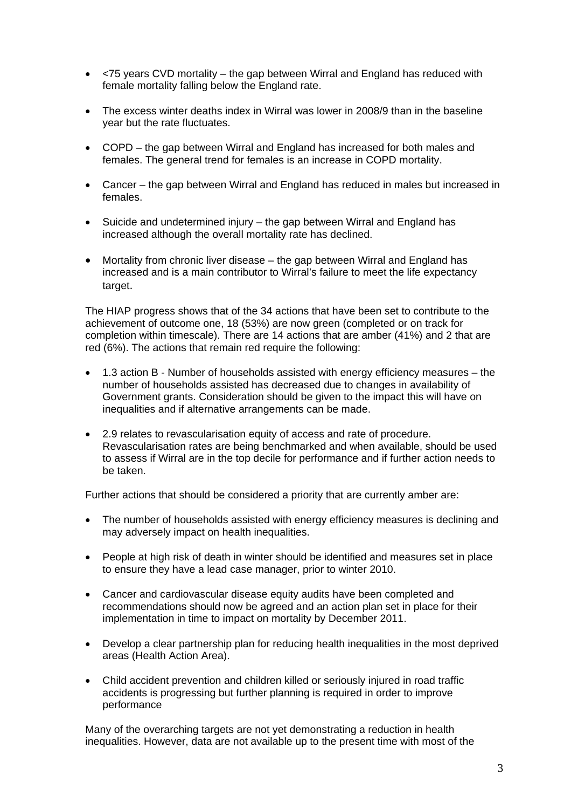- <75 years CVD mortality the gap between Wirral and England has reduced with female mortality falling below the England rate.
- The excess winter deaths index in Wirral was lower in 2008/9 than in the baseline year but the rate fluctuates.
- COPD the gap between Wirral and England has increased for both males and females. The general trend for females is an increase in COPD mortality.
- Cancer the gap between Wirral and England has reduced in males but increased in females.
- Suicide and undetermined injury the gap between Wirral and England has increased although the overall mortality rate has declined.
- Mortality from chronic liver disease the gap between Wirral and England has increased and is a main contributor to Wirral's failure to meet the life expectancy target.

The HIAP progress shows that of the 34 actions that have been set to contribute to the achievement of outcome one, 18 (53%) are now green (completed or on track for completion within timescale). There are 14 actions that are amber (41%) and 2 that are red (6%). The actions that remain red require the following:

- 1.3 action B Number of households assisted with energy efficiency measures the number of households assisted has decreased due to changes in availability of Government grants. Consideration should be given to the impact this will have on inequalities and if alternative arrangements can be made.
- 2.9 relates to revascularisation equity of access and rate of procedure. Revascularisation rates are being benchmarked and when available, should be used to assess if Wirral are in the top decile for performance and if further action needs to be taken.

Further actions that should be considered a priority that are currently amber are:

- The number of households assisted with energy efficiency measures is declining and may adversely impact on health inequalities.
- People at high risk of death in winter should be identified and measures set in place to ensure they have a lead case manager, prior to winter 2010.
- Cancer and cardiovascular disease equity audits have been completed and recommendations should now be agreed and an action plan set in place for their implementation in time to impact on mortality by December 2011.
- Develop a clear partnership plan for reducing health inequalities in the most deprived areas (Health Action Area).
- Child accident prevention and children killed or seriously injured in road traffic accidents is progressing but further planning is required in order to improve performance

Many of the overarching targets are not yet demonstrating a reduction in health inequalities. However, data are not available up to the present time with most of the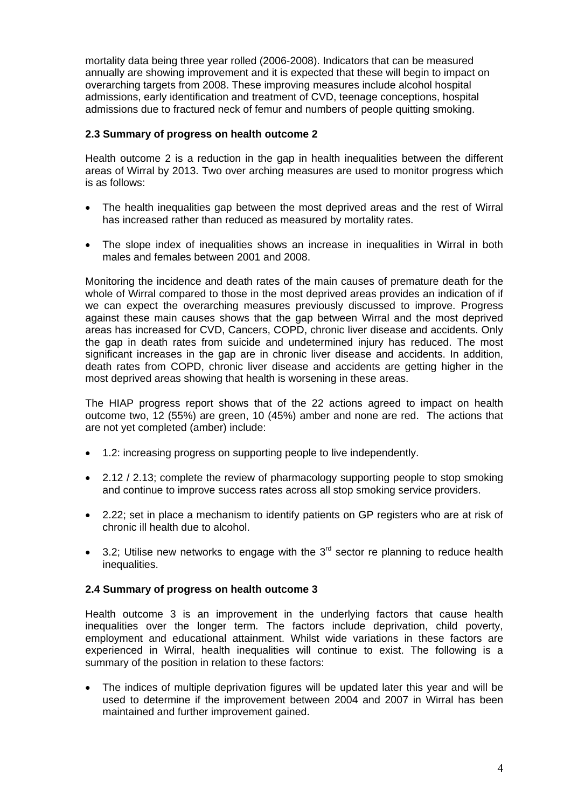mortality data being three year rolled (2006-2008). Indicators that can be measured annually are showing improvement and it is expected that these will begin to impact on overarching targets from 2008. These improving measures include alcohol hospital admissions, early identification and treatment of CVD, teenage conceptions, hospital admissions due to fractured neck of femur and numbers of people quitting smoking.

## **2.3 Summary of progress on health outcome 2**

Health outcome 2 is a reduction in the gap in health inequalities between the different areas of Wirral by 2013. Two over arching measures are used to monitor progress which is as follows:

- The health inequalities gap between the most deprived areas and the rest of Wirral has increased rather than reduced as measured by mortality rates.
- The slope index of inequalities shows an increase in inequalities in Wirral in both males and females between 2001 and 2008.

Monitoring the incidence and death rates of the main causes of premature death for the whole of Wirral compared to those in the most deprived areas provides an indication of if we can expect the overarching measures previously discussed to improve. Progress against these main causes shows that the gap between Wirral and the most deprived areas has increased for CVD, Cancers, COPD, chronic liver disease and accidents. Only the gap in death rates from suicide and undetermined injury has reduced. The most significant increases in the gap are in chronic liver disease and accidents. In addition, death rates from COPD, chronic liver disease and accidents are getting higher in the most deprived areas showing that health is worsening in these areas.

The HIAP progress report shows that of the 22 actions agreed to impact on health outcome two, 12 (55%) are green, 10 (45%) amber and none are red. The actions that are not yet completed (amber) include:

- 1.2: increasing progress on supporting people to live independently.
- 2.12 / 2.13; complete the review of pharmacology supporting people to stop smoking and continue to improve success rates across all stop smoking service providers.
- 2.22; set in place a mechanism to identify patients on GP registers who are at risk of chronic ill health due to alcohol.
- $\bullet$  3.2; Utilise new networks to engage with the 3<sup>rd</sup> sector re planning to reduce health inequalities.

#### **2.4 Summary of progress on health outcome 3**

Health outcome 3 is an improvement in the underlying factors that cause health inequalities over the longer term. The factors include deprivation, child poverty, employment and educational attainment. Whilst wide variations in these factors are experienced in Wirral, health inequalities will continue to exist. The following is a summary of the position in relation to these factors:

• The indices of multiple deprivation figures will be updated later this year and will be used to determine if the improvement between 2004 and 2007 in Wirral has been maintained and further improvement gained.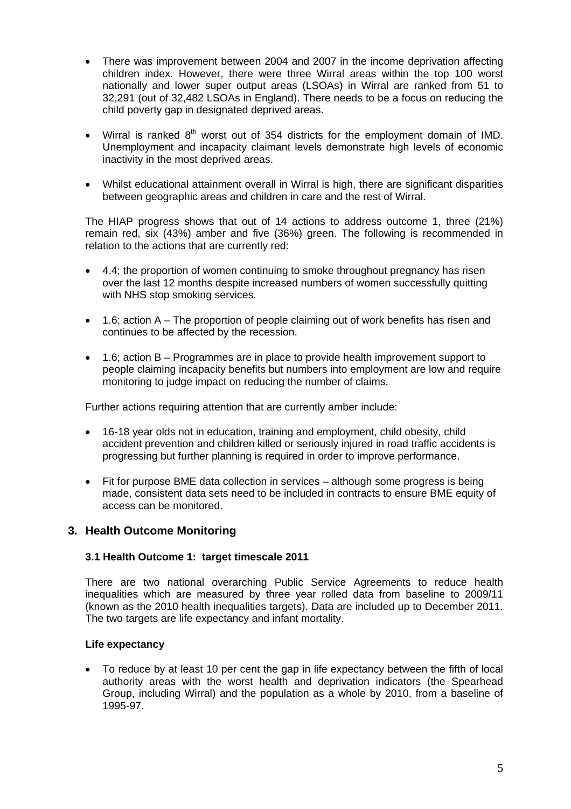- There was improvement between 2004 and 2007 in the income deprivation affecting children index. However, there were three Wirral areas within the top 100 worst nationally and lower super output areas (LSOAs) in Wirral are ranked from 51 to 32,291 (out of 32,482 LSOAs in England). There needs to be a focus on reducing the child poverty gap in designated deprived areas.
- Wirral is ranked  $8<sup>th</sup>$  worst out of 354 districts for the employment domain of IMD. Unemployment and incapacity claimant levels demonstrate high levels of economic inactivity in the most deprived areas.
- Whilst educational attainment overall in Wirral is high, there are significant disparities between geographic areas and children in care and the rest of Wirral.

The HIAP progress shows that out of 14 actions to address outcome 1, three (21%) remain red, six (43%) amber and five (36%) green. The following is recommended in relation to the actions that are currently red:

- 4.4; the proportion of women continuing to smoke throughout pregnancy has risen over the last 12 months despite increased numbers of women successfully quitting with NHS stop smoking services.
- 1.6; action A The proportion of people claiming out of work benefits has risen and continues to be affected by the recession.
- 1.6; action B Programmes are in place to provide health improvement support to people claiming incapacity benefits but numbers into employment are low and require monitoring to judge impact on reducing the number of claims.

Further actions requiring attention that are currently amber include:

- 16-18 year olds not in education, training and employment, child obesity, child accident prevention and children killed or seriously injured in road traffic accidents is progressing but further planning is required in order to improve performance.
- Fit for purpose BME data collection in services although some progress is being made, consistent data sets need to be included in contracts to ensure BME equity of access can be monitored.

## **3. Health Outcome Monitoring**

#### **3.1 Health Outcome 1: target timescale 2011**

There are two national overarching Public Service Agreements to reduce health inequalities which are measured by three year rolled data from baseline to 2009/11 (known as the 2010 health inequalities targets). Data are included up to December 2011. The two targets are life expectancy and infant mortality.

#### **Life expectancy**

• To reduce by at least 10 per cent the gap in life expectancy between the fifth of local authority areas with the worst health and deprivation indicators (the Spearhead Group, including Wirral) and the population as a whole by 2010, from a baseline of 1995-97.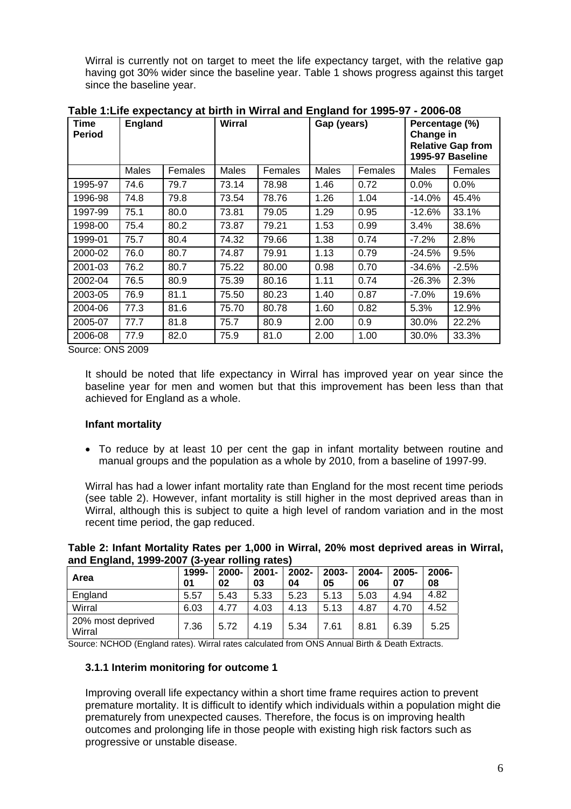Wirral is currently not on target to meet the life expectancy target, with the relative gap having got 30% wider since the baseline year. Table 1 shows progress against this target since the baseline year.

| <b>Time</b><br><b>Period</b> | <b>England</b> |         | <b>Wirral</b> |         | Gap (years) |         | Percentage (%)<br>Change in<br><b>Relative Gap from</b><br>1995-97 Baseline |         |
|------------------------------|----------------|---------|---------------|---------|-------------|---------|-----------------------------------------------------------------------------|---------|
|                              | <b>Males</b>   | Females | <b>Males</b>  | Females | Males       | Females | Males                                                                       | Females |
| 1995-97                      | 74.6           | 79.7    | 73.14         | 78.98   | 1.46        | 0.72    | 0.0%                                                                        | 0.0%    |
| 1996-98                      | 74.8           | 79.8    | 73.54         | 78.76   | 1.26        | 1.04    | $-14.0\%$                                                                   | 45.4%   |
| 1997-99                      | 75.1           | 80.0    | 73.81         | 79.05   | 1.29        | 0.95    | $-12.6%$                                                                    | 33.1%   |
| 1998-00                      | 75.4           | 80.2    | 73.87         | 79.21   | 1.53        | 0.99    | 3.4%                                                                        | 38.6%   |
| 1999-01                      | 75.7           | 80.4    | 74.32         | 79.66   | 1.38        | 0.74    | $-7.2%$                                                                     | 2.8%    |
| 2000-02                      | 76.0           | 80.7    | 74.87         | 79.91   | 1.13        | 0.79    | $-24.5%$                                                                    | 9.5%    |
| 2001-03                      | 76.2           | 80.7    | 75.22         | 80.00   | 0.98        | 0.70    | $-34.6%$                                                                    | $-2.5%$ |
| 2002-04                      | 76.5           | 80.9    | 75.39         | 80.16   | 1.11        | 0.74    | $-26.3%$                                                                    | 2.3%    |
| 2003-05                      | 76.9           | 81.1    | 75.50         | 80.23   | 1.40        | 0.87    | $-7.0\%$                                                                    | 19.6%   |
| 2004-06                      | 77.3           | 81.6    | 75.70         | 80.78   | 1.60        | 0.82    | 5.3%                                                                        | 12.9%   |
| 2005-07                      | 77.7           | 81.8    | 75.7          | 80.9    | 2.00        | 0.9     | 30.0%                                                                       | 22.2%   |
| 2006-08                      | 77.9           | 82.0    | 75.9          | 81.0    | 2.00        | 1.00    | 30.0%                                                                       | 33.3%   |

**Table 1:Life expectancy at birth in Wirral and England for 1995-97 - 2006-08** 

Source: ONS 2009

It should be noted that life expectancy in Wirral has improved year on year since the baseline year for men and women but that this improvement has been less than that achieved for England as a whole.

## **Infant mortality**

• To reduce by at least 10 per cent the gap in infant mortality between routine and manual groups and the population as a whole by 2010, from a baseline of 1997-99.

Wirral has had a lower infant mortality rate than England for the most recent time periods (see table 2). However, infant mortality is still higher in the most deprived areas than in Wirral, although this is subject to quite a high level of random variation and in the most recent time period, the gap reduced.

| and England, 1999-2007 (3-year rolling rates) |             |                |                |             |             |                |             |             |
|-----------------------------------------------|-------------|----------------|----------------|-------------|-------------|----------------|-------------|-------------|
| Area                                          | 1999-<br>01 | $2000 -$<br>02 | $2001 -$<br>03 | 2002-<br>04 | 2003-<br>05 | $2004 -$<br>06 | 2005-<br>07 | 2006-<br>08 |
| England                                       | 5.57        | 5.43           | 5.33           | 5.23        | 5.13        | 5.03           | 4.94        | 4.82        |
| Wirral                                        | 6.03        | 4.77           | 4.03           | 4.13        | 5.13        | 4.87           | 4.70        | 4.52        |
| 20% most deprived<br>Wirral                   | 7.36        | 5.72           | 4.19           | 5.34        | 7.61        | 8.81           | 6.39        | 5.25        |

**Table 2: Infant Mortality Rates per 1,000 in Wirral, 20% most deprived areas in Wirral, and England, 1999-2007 (3-year rolling rates)** 

Source: NCHOD (England rates). Wirral rates calculated from ONS Annual Birth & Death Extracts.

#### **3.1.1 Interim monitoring for outcome 1**

Improving overall life expectancy within a short time frame requires action to prevent premature mortality. It is difficult to identify which individuals within a population might die prematurely from unexpected causes. Therefore, the focus is on improving health outcomes and prolonging life in those people with existing high risk factors such as progressive or unstable disease.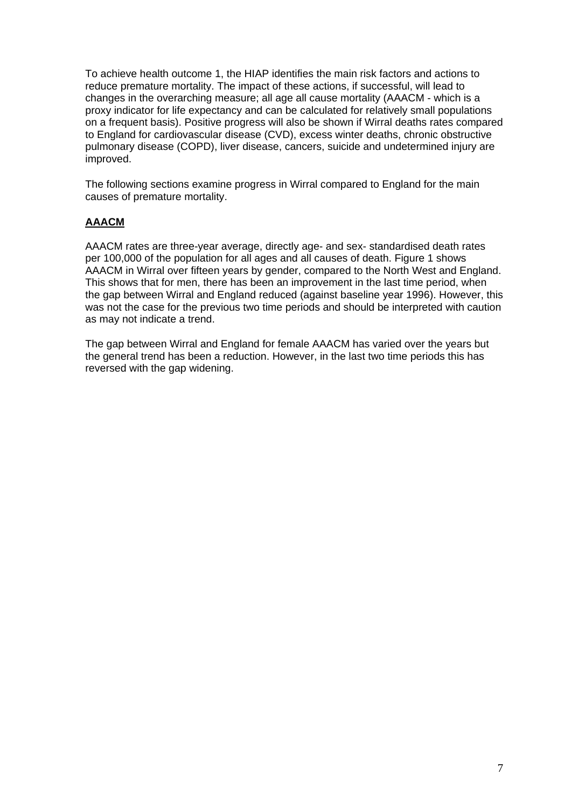To achieve health outcome 1, the HIAP identifies the main risk factors and actions to reduce premature mortality. The impact of these actions, if successful, will lead to changes in the overarching measure; all age all cause mortality (AAACM - which is a proxy indicator for life expectancy and can be calculated for relatively small populations on a frequent basis). Positive progress will also be shown if Wirral deaths rates compared to England for cardiovascular disease (CVD), excess winter deaths, chronic obstructive pulmonary disease (COPD), liver disease, cancers, suicide and undetermined injury are improved.

The following sections examine progress in Wirral compared to England for the main causes of premature mortality.

### **AAACM**

AAACM rates are three-year average, directly age- and sex- standardised death rates per 100,000 of the population for all ages and all causes of death. Figure 1 shows AAACM in Wirral over fifteen years by gender, compared to the North West and England. This shows that for men, there has been an improvement in the last time period, when the gap between Wirral and England reduced (against baseline year 1996). However, this was not the case for the previous two time periods and should be interpreted with caution as may not indicate a trend.

The gap between Wirral and England for female AAACM has varied over the years but the general trend has been a reduction. However, in the last two time periods this has reversed with the gap widening.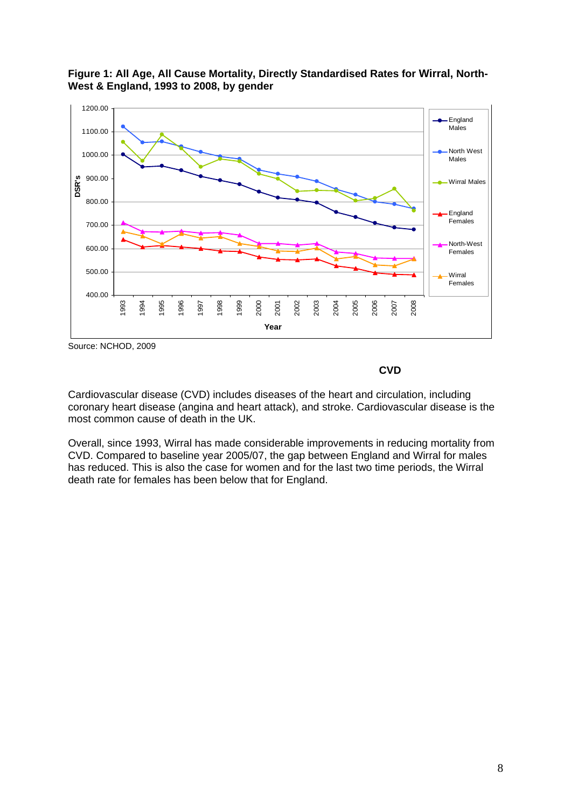



Source: NCHOD, 2009

 **CVD** 

Cardiovascular disease (CVD) includes diseases of the heart and circulation, including coronary heart disease (angina and heart attack), and stroke. Cardiovascular disease is the most common cause of death in the UK.

Overall, since 1993, Wirral has made considerable improvements in reducing mortality from CVD. Compared to baseline year 2005/07, the gap between England and Wirral for males has reduced. This is also the case for women and for the last two time periods, the Wirral death rate for females has been below that for England.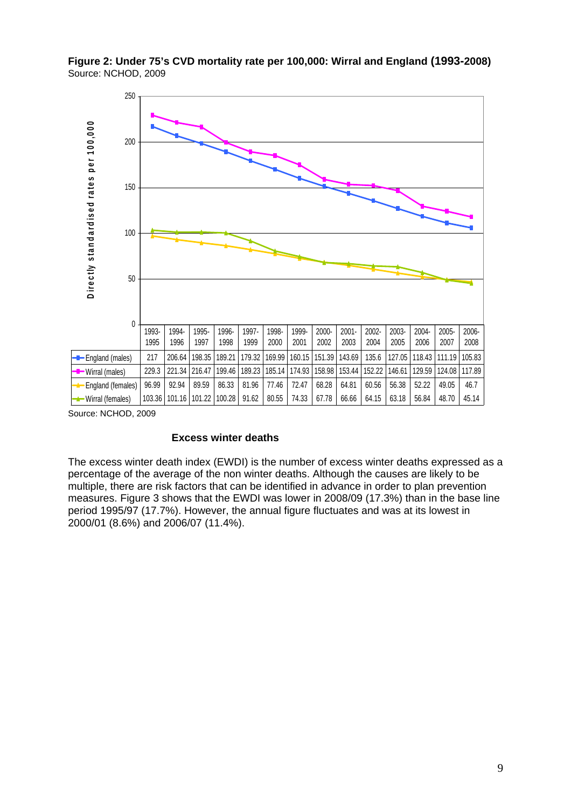**Figure 2: Under 75's CVD mortality rate per 100,000: Wirral and England (1993-2008)** Source: NCHOD, 2009



Source: NCHOD, 2009

#### **Excess winter deaths**

The excess winter death index (EWDI) is the number of excess winter deaths expressed as a percentage of the average of the non winter deaths. Although the causes are likely to be multiple, there are risk factors that can be identified in advance in order to plan prevention measures. Figure 3 shows that the EWDI was lower in 2008/09 (17.3%) than in the base line period 1995/97 (17.7%). However, the annual figure fluctuates and was at its lowest in 2000/01 (8.6%) and 2006/07 (11.4%).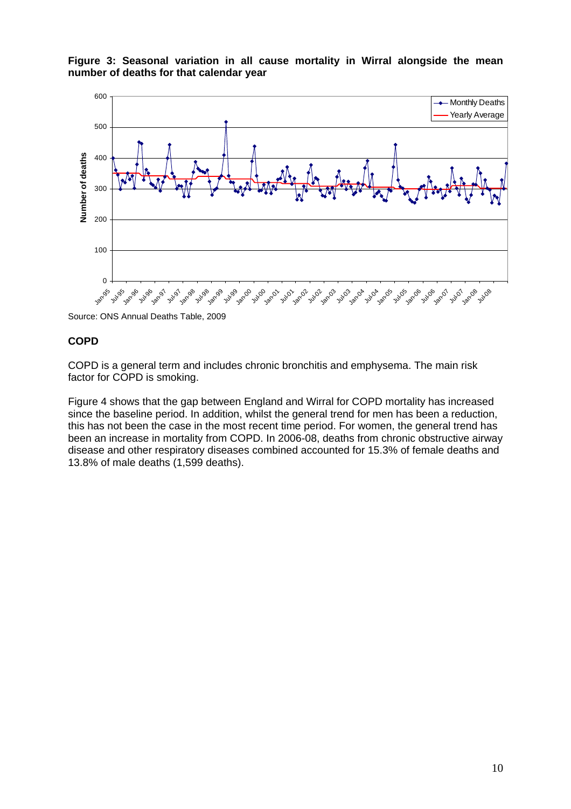**Figure 3: Seasonal variation in all cause mortality in Wirral alongside the mean number of deaths for that calendar year** 



Source: ONS Annual Deaths Table, 2009

#### **COPD**

COPD is a general term and includes chronic bronchitis and emphysema. The main risk factor for COPD is smoking.

Figure 4 shows that the gap between England and Wirral for COPD mortality has increased since the baseline period. In addition, whilst the general trend for men has been a reduction, this has not been the case in the most recent time period. For women, the general trend has been an increase in mortality from COPD. In 2006-08, deaths from chronic obstructive airway disease and other respiratory diseases combined accounted for 15.3% of female deaths and 13.8% of male deaths (1,599 deaths).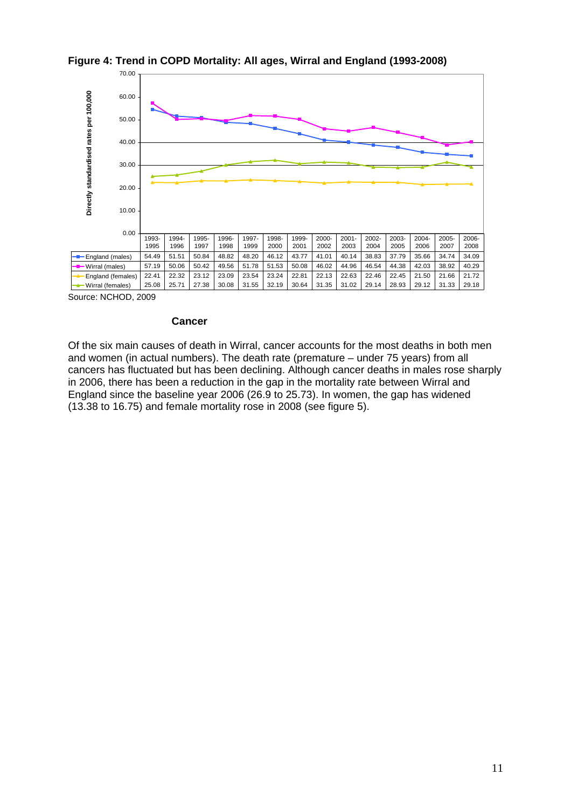

#### **Figure 4: Trend in COPD Mortality: All ages, Wirral and England (1993-2008)**

Source: NCHOD, 2009

#### **Cancer**

Of the six main causes of death in Wirral, cancer accounts for the most deaths in both men and women (in actual numbers). The death rate (premature – under 75 years) from all cancers has fluctuated but has been declining. Although cancer deaths in males rose sharply in 2006, there has been a reduction in the gap in the mortality rate between Wirral and England since the baseline year 2006 (26.9 to 25.73). In women, the gap has widened (13.38 to 16.75) and female mortality rose in 2008 (see figure 5).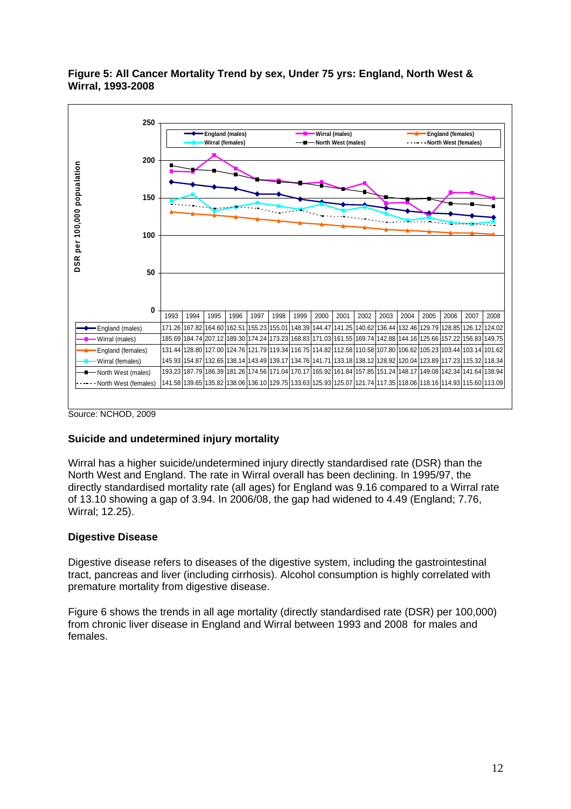#### **Figure 5: All Cancer Mortality Trend by sex, Under 75 yrs: England, North West & Wirral, 1993-2008**



Source: NCHOD, 2009

#### **Suicide and undetermined injury mortality**

Wirral has a higher suicide/undetermined injury directly standardised rate (DSR) than the North West and England. The rate in Wirral overall has been declining. In 1995/97, the directly standardised mortality rate (all ages) for England was 9.16 compared to a Wirral rate of 13.10 showing a gap of 3.94. In 2006/08, the gap had widened to 4.49 (England; 7.76, Wirral; 12.25).

#### **Digestive Disease**

Digestive disease refers to diseases of the digestive system, including the gastrointestinal tract, pancreas and liver (including cirrhosis). Alcohol consumption is highly correlated with premature mortality from digestive disease.

Figure 6 shows the trends in all age mortality (directly standardised rate (DSR) per 100,000) from chronic liver disease in England and Wirral between 1993 and 2008 for males and females.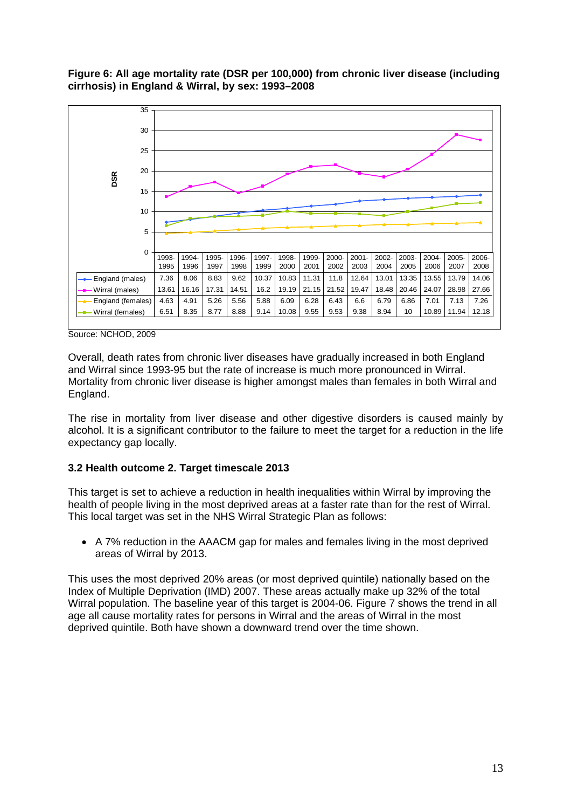**Figure 6: All age mortality rate (DSR per 100,000) from chronic liver disease (including cirrhosis) in England & Wirral, by sex: 1993–2008** 



Source: NCHOD, 2009

Overall, death rates from chronic liver diseases have gradually increased in both England and Wirral since 1993-95 but the rate of increase is much more pronounced in Wirral. Mortality from chronic liver disease is higher amongst males than females in both Wirral and England.

The rise in mortality from liver disease and other digestive disorders is caused mainly by alcohol. It is a significant contributor to the failure to meet the target for a reduction in the life expectancy gap locally.

#### **3.2 Health outcome 2. Target timescale 2013**

This target is set to achieve a reduction in health inequalities within Wirral by improving the health of people living in the most deprived areas at a faster rate than for the rest of Wirral. This local target was set in the NHS Wirral Strategic Plan as follows:

• A 7% reduction in the AAACM gap for males and females living in the most deprived areas of Wirral by 2013.

This uses the most deprived 20% areas (or most deprived quintile) nationally based on the Index of Multiple Deprivation (IMD) 2007. These areas actually make up 32% of the total Wirral population. The baseline year of this target is 2004-06. Figure 7 shows the trend in all age all cause mortality rates for persons in Wirral and the areas of Wirral in the most deprived quintile. Both have shown a downward trend over the time shown.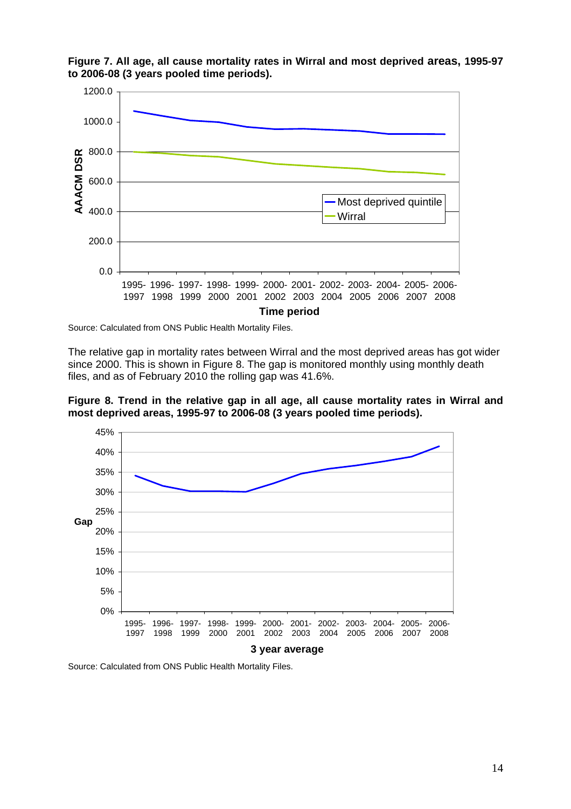

**Figure 7. All age, all cause mortality rates in Wirral and most deprived areas, 1995-97 to 2006-08 (3 years pooled time periods).** 

Source: Calculated from ONS Public Health Mortality Files.

The relative gap in mortality rates between Wirral and the most deprived areas has got wider since 2000. This is shown in Figure 8. The gap is monitored monthly using monthly death files, and as of February 2010 the rolling gap was 41.6%.





Source: Calculated from ONS Public Health Mortality Files.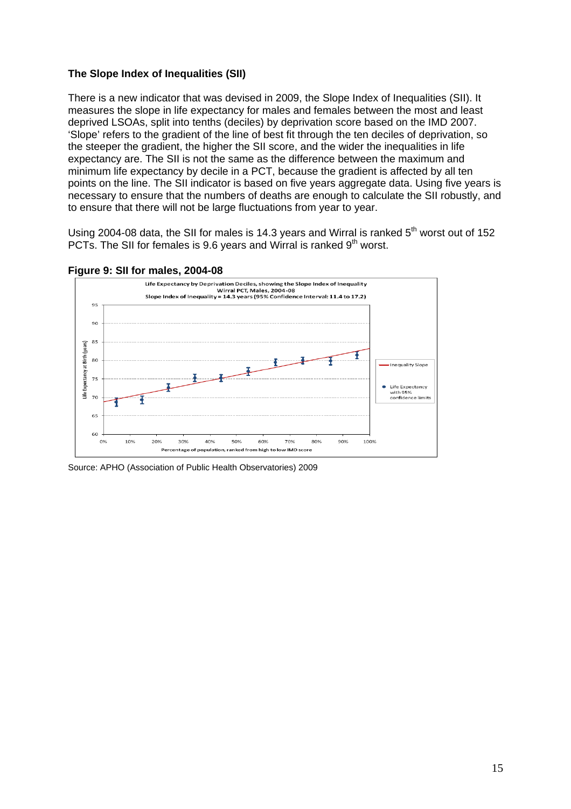#### **The Slope Index of Inequalities (SII)**

There is a new indicator that was devised in 2009, the Slope Index of Inequalities (SII). It measures the slope in life expectancy for males and females between the most and least deprived LSOAs, split into tenths (deciles) by deprivation score based on the IMD 2007. 'Slope' refers to the gradient of the line of best fit through the ten deciles of deprivation, so the steeper the gradient, the higher the SII score, and the wider the inequalities in life expectancy are. The SII is not the same as the difference between the maximum and minimum life expectancy by decile in a PCT, because the gradient is affected by all ten points on the line. The SII indicator is based on five years aggregate data. Using five years is necessary to ensure that the numbers of deaths are enough to calculate the SII robustly, and to ensure that there will not be large fluctuations from year to year.

Using 2004-08 data, the SII for males is 14.3 years and Wirral is ranked  $5<sup>th</sup>$  worst out of 152 PCTs. The SII for females is 9.6 years and Wirral is ranked  $9<sup>th</sup>$  worst.





Source: APHO (Association of Public Health Observatories) 2009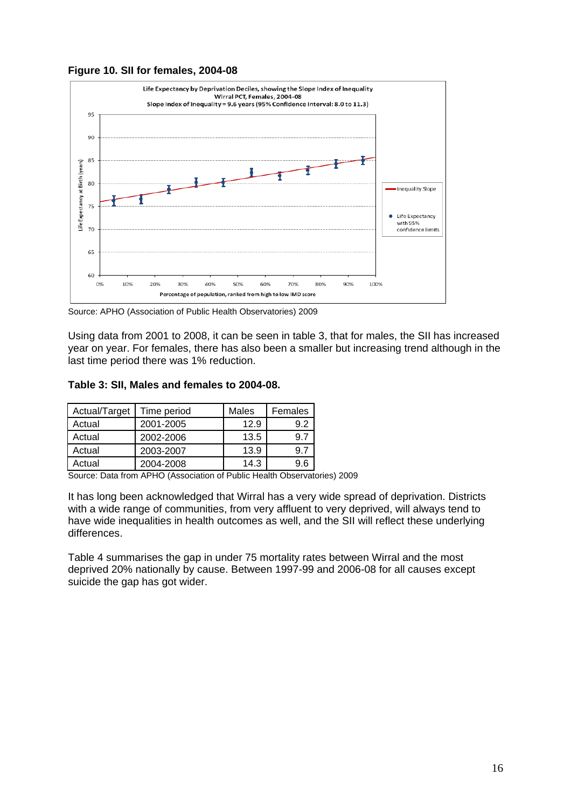



Source: APHO (Association of Public Health Observatories) 2009

Using data from 2001 to 2008, it can be seen in table 3, that for males, the SII has increased year on year. For females, there has also been a smaller but increasing trend although in the last time period there was 1% reduction.

#### **Table 3: SII, Males and females to 2004-08.**

| Actual/Target | Time period | Males | Females |
|---------------|-------------|-------|---------|
| Actual        | 2001-2005   | 12.9  | 9.2     |
| Actual        | 2002-2006   | 13.5  |         |
| Actual        | 2003-2007   | 13.9  | 9.7     |
| Actual        | 2004-2008   | 14.3  | 9.6     |

Source: Data from APHO (Association of Public Health Observatories) 2009

It has long been acknowledged that Wirral has a very wide spread of deprivation. Districts with a wide range of communities, from very affluent to very deprived, will always tend to have wide inequalities in health outcomes as well, and the SII will reflect these underlying differences.

Table 4 summarises the gap in under 75 mortality rates between Wirral and the most deprived 20% nationally by cause. Between 1997-99 and 2006-08 for all causes except suicide the gap has got wider.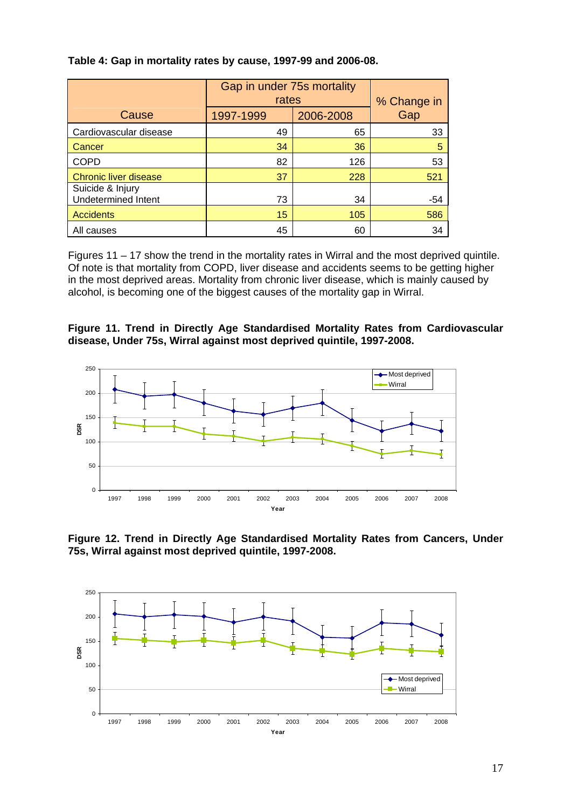|                                                | Gap in under 75s mortality<br>rates | % Change in |     |
|------------------------------------------------|-------------------------------------|-------------|-----|
| Cause                                          | 1997-1999                           | 2006-2008   | Gap |
| Cardiovascular disease                         | 49                                  | 65          | 33  |
| Cancer                                         | 34                                  | 36          | 5   |
| <b>COPD</b>                                    | 82                                  | 126         | 53  |
| <b>Chronic liver disease</b>                   | 37                                  | 228         | 521 |
| Suicide & Injury<br><b>Undetermined Intent</b> | 73                                  | 34          | -54 |
| <b>Accidents</b>                               | 15                                  | 105         | 586 |
| All causes                                     | 45                                  | 60          | 34  |

#### **Table 4: Gap in mortality rates by cause, 1997-99 and 2006-08.**

Figures 11 – 17 show the trend in the mortality rates in Wirral and the most deprived quintile. Of note is that mortality from COPD, liver disease and accidents seems to be getting higher in the most deprived areas. Mortality from chronic liver disease, which is mainly caused by alcohol, is becoming one of the biggest causes of the mortality gap in Wirral.

#### **Figure 11. Trend in Directly Age Standardised Mortality Rates from Cardiovascular disease, Under 75s, Wirral against most deprived quintile, 1997-2008.**



**Figure 12. Trend in Directly Age Standardised Mortality Rates from Cancers, Under 75s, Wirral against most deprived quintile, 1997-2008.** 

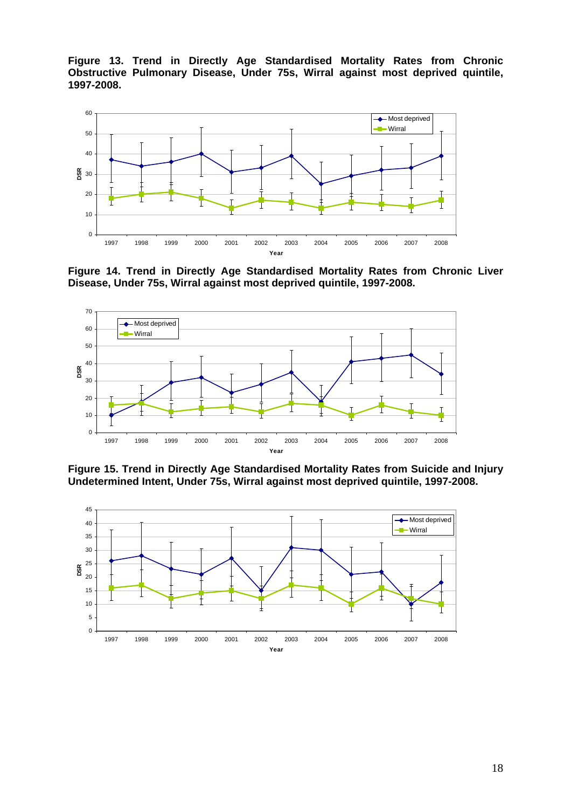**Figure 13. Trend in Directly Age Standardised Mortality Rates from Chronic Obstructive Pulmonary Disease, Under 75s, Wirral against most deprived quintile, 1997-2008.** 



**Figure 14. Trend in Directly Age Standardised Mortality Rates from Chronic Liver Disease, Under 75s, Wirral against most deprived quintile, 1997-2008.** 



**Figure 15. Trend in Directly Age Standardised Mortality Rates from Suicide and Injury Undetermined Intent, Under 75s, Wirral against most deprived quintile, 1997-2008.** 

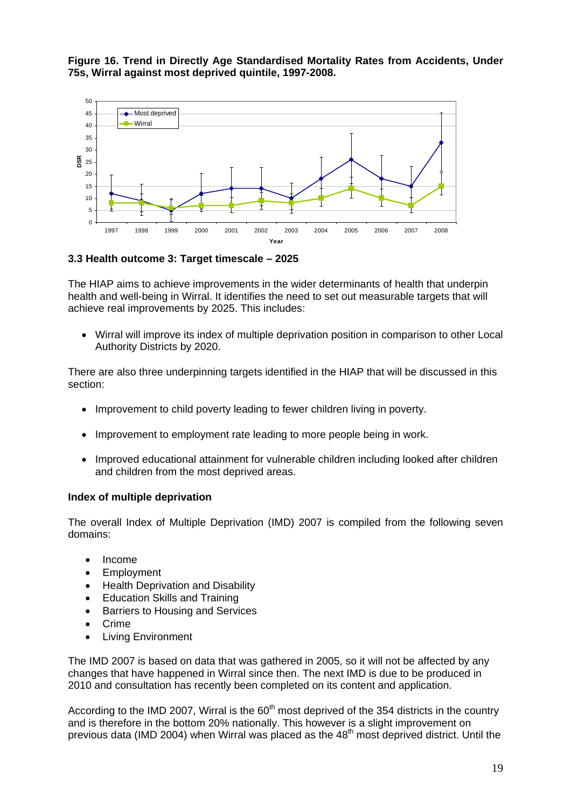**Figure 16. Trend in Directly Age Standardised Mortality Rates from Accidents, Under 75s, Wirral against most deprived quintile, 1997-2008.** 



**3.3 Health outcome 3: Target timescale – 2025** 

The HIAP aims to achieve improvements in the wider determinants of health that underpin health and well-being in Wirral. It identifies the need to set out measurable targets that will achieve real improvements by 2025. This includes:

• Wirral will improve its index of multiple deprivation position in comparison to other Local Authority Districts by 2020.

There are also three underpinning targets identified in the HIAP that will be discussed in this section:

- Improvement to child poverty leading to fewer children living in poverty.
- Improvement to employment rate leading to more people being in work.
- Improved educational attainment for vulnerable children including looked after children and children from the most deprived areas.

#### **Index of multiple deprivation**

The overall Index of Multiple Deprivation (IMD) 2007 is compiled from the following seven domains:

- Income
- **Employment**
- Health Deprivation and Disability
- Education Skills and Training
- Barriers to Housing and Services
- Crime
- Living Environment

The IMD 2007 is based on data that was gathered in 2005, so it will not be affected by any changes that have happened in Wirral since then. The next IMD is due to be produced in 2010 and consultation has recently been completed on its content and application.

According to the IMD 2007, Wirral is the  $60<sup>th</sup>$  most deprived of the 354 districts in the country and is therefore in the bottom 20% nationally. This however is a slight improvement on previous data (IMD 2004) when Wirral was placed as the 48<sup>th</sup> most deprived district. Until the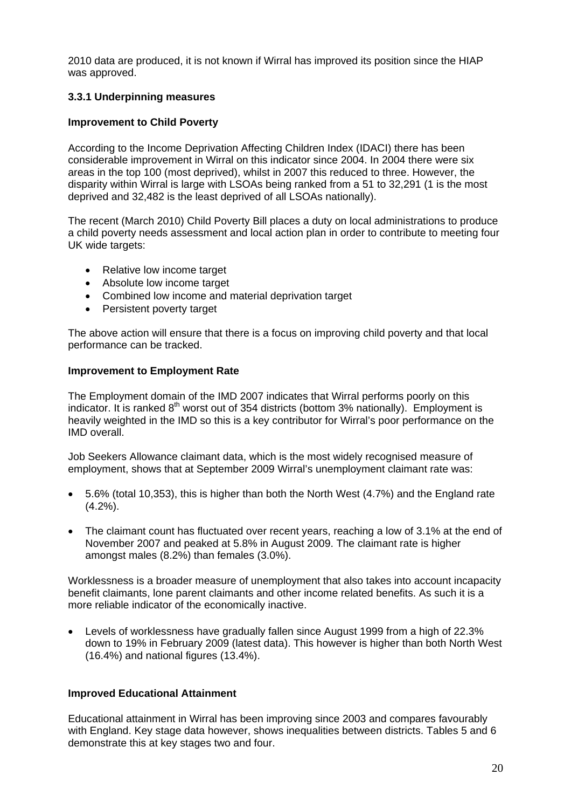2010 data are produced, it is not known if Wirral has improved its position since the HIAP was approved.

## **3.3.1 Underpinning measures**

#### **Improvement to Child Poverty**

According to the Income Deprivation Affecting Children Index (IDACI) there has been considerable improvement in Wirral on this indicator since 2004. In 2004 there were six areas in the top 100 (most deprived), whilst in 2007 this reduced to three. However, the disparity within Wirral is large with LSOAs being ranked from a 51 to 32,291 (1 is the most deprived and 32,482 is the least deprived of all LSOAs nationally).

The recent (March 2010) Child Poverty Bill places a duty on local administrations to produce a child poverty needs assessment and local action plan in order to contribute to meeting four UK wide targets:

- Relative low income target
- Absolute low income target
- Combined low income and material deprivation target
- Persistent poverty target

The above action will ensure that there is a focus on improving child poverty and that local performance can be tracked.

#### **Improvement to Employment Rate**

The Employment domain of the IMD 2007 indicates that Wirral performs poorly on this indicator. It is ranked  $8<sup>th</sup>$  worst out of 354 districts (bottom 3% nationally). Employment is heavily weighted in the IMD so this is a key contributor for Wirral's poor performance on the IMD overall.

Job Seekers Allowance claimant data, which is the most widely recognised measure of employment, shows that at September 2009 Wirral's unemployment claimant rate was:

- 5.6% (total 10,353), this is higher than both the North West (4.7%) and the England rate  $(4.2\%)$ .
- The claimant count has fluctuated over recent years, reaching a low of 3.1% at the end of November 2007 and peaked at 5.8% in August 2009. The claimant rate is higher amongst males (8.2%) than females (3.0%).

Worklessness is a broader measure of unemployment that also takes into account incapacity benefit claimants, lone parent claimants and other income related benefits. As such it is a more reliable indicator of the economically inactive.

• Levels of worklessness have gradually fallen since August 1999 from a high of 22.3% down to 19% in February 2009 (latest data). This however is higher than both North West (16.4%) and national figures (13.4%).

#### **Improved Educational Attainment**

Educational attainment in Wirral has been improving since 2003 and compares favourably with England. Key stage data however, shows inequalities between districts. Tables 5 and 6 demonstrate this at key stages two and four.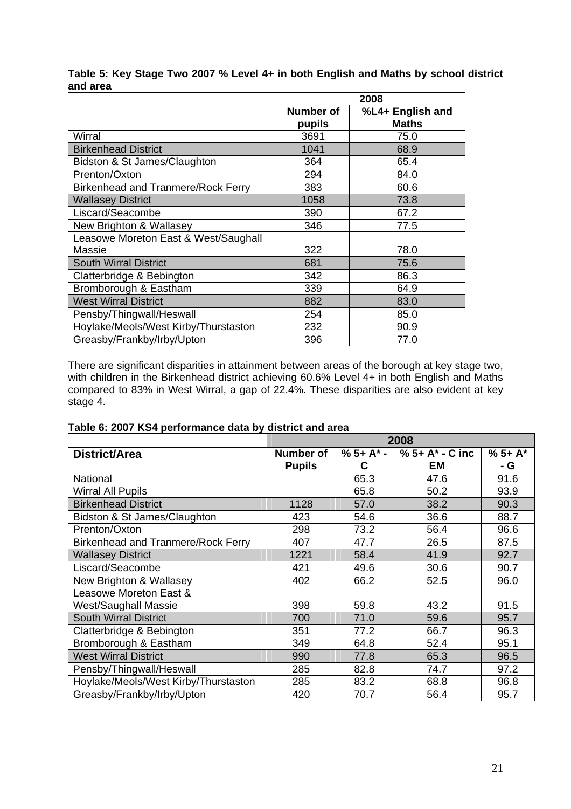|                                                | 2008                |                                  |  |
|------------------------------------------------|---------------------|----------------------------------|--|
|                                                | Number of<br>pupils | %L4+ English and<br><b>Maths</b> |  |
| Wirral                                         | 3691                | 75.0                             |  |
| <b>Birkenhead District</b>                     | 1041                | 68.9                             |  |
| Bidston & St James/Claughton                   | 364                 | 65.4                             |  |
| Prenton/Oxton                                  | 294                 | 84.0                             |  |
| <b>Birkenhead and Tranmere/Rock Ferry</b>      | 383                 | 60.6                             |  |
| <b>Wallasey District</b>                       | 1058                | 73.8                             |  |
| Liscard/Seacombe                               | 390                 | 67.2                             |  |
| New Brighton & Wallasey                        | 346                 | 77.5                             |  |
| Leasowe Moreton East & West/Saughall<br>Massie | 322                 | 78.0                             |  |
| <b>South Wirral District</b>                   | 681                 | 75.6                             |  |
| Clatterbridge & Bebington                      | 342                 | 86.3                             |  |
| Bromborough & Eastham                          | 339                 | 64.9                             |  |
| <b>West Wirral District</b>                    | 882                 | 83.0                             |  |
| Pensby/Thingwall/Heswall                       | 254                 | 85.0                             |  |
| Hoylake/Meols/West Kirby/Thurstaston           | 232                 | 90.9                             |  |
| Greasby/Frankby/Irby/Upton                     | 396                 | 77.0                             |  |

## **Table 5: Key Stage Two 2007 % Level 4+ in both English and Maths by school district and area**

There are significant disparities in attainment between areas of the borough at key stage two, with children in the Birkenhead district achieving 60.6% Level 4+ in both English and Maths compared to 83% in West Wirral, a gap of 22.4%. These disparities are also evident at key stage 4.

|  | Table 6: 2007 KS4 performance data by district and area |  |  |
|--|---------------------------------------------------------|--|--|
|  |                                                         |  |  |

|                                           | 2008          |           |                    |         |  |
|-------------------------------------------|---------------|-----------|--------------------|---------|--|
| District/Area                             | Number of     | $%5+A* -$ | $% 5 + A* - C$ inc | $%5+A*$ |  |
|                                           | <b>Pupils</b> | C         | EM                 | - G     |  |
| <b>National</b>                           |               | 65.3      | 47.6               | 91.6    |  |
| <b>Wirral All Pupils</b>                  |               | 65.8      | 50.2               | 93.9    |  |
| <b>Birkenhead District</b>                | 1128          | 57.0      | 38.2               | 90.3    |  |
| Bidston & St James/Claughton              | 423           | 54.6      | 36.6               | 88.7    |  |
| Prenton/Oxton                             | 298           | 73.2      | 56.4               | 96.6    |  |
| <b>Birkenhead and Tranmere/Rock Ferry</b> | 407           | 47.7      | 26.5               | 87.5    |  |
| <b>Wallasey District</b>                  | 1221          | 58.4      | 41.9               | 92.7    |  |
| Liscard/Seacombe                          | 421           | 49.6      | 30.6               | 90.7    |  |
| New Brighton & Wallasey                   | 402           | 66.2      | 52.5               | 96.0    |  |
| Leasowe Moreton East &                    |               |           |                    |         |  |
| <b>West/Saughall Massie</b>               | 398           | 59.8      | 43.2               | 91.5    |  |
| <b>South Wirral District</b>              | 700           | 71.0      | 59.6               | 95.7    |  |
| Clatterbridge & Bebington                 | 351           | 77.2      | 66.7               | 96.3    |  |
| Bromborough & Eastham                     | 349           | 64.8      | 52.4               | 95.1    |  |
| <b>West Wirral District</b>               | 990           | 77.8      | 65.3               | 96.5    |  |
| Pensby/Thingwall/Heswall                  | 285           | 82.8      | 74.7               | 97.2    |  |
| Hoylake/Meols/West Kirby/Thurstaston      | 285           | 83.2      | 68.8               | 96.8    |  |
| Greasby/Frankby/Irby/Upton                | 420           | 70.7      | 56.4               | 95.7    |  |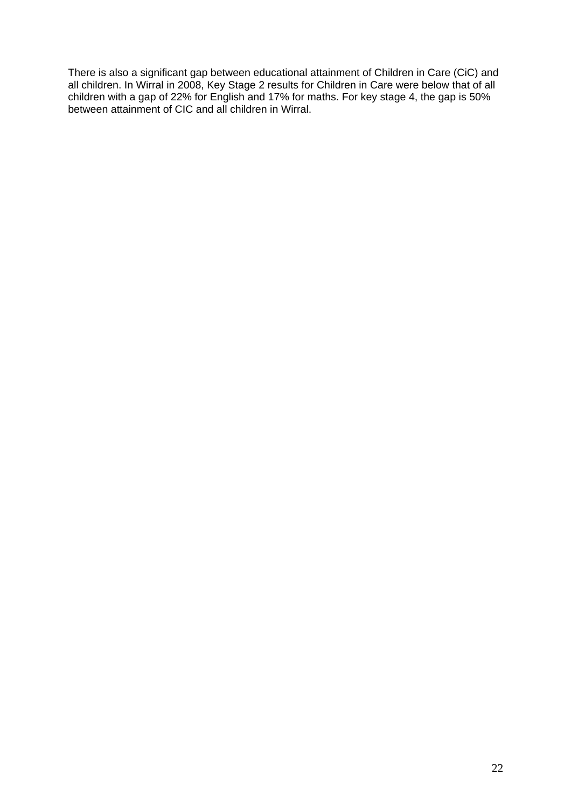There is also a significant gap between educational attainment of Children in Care (CiC) and all children. In Wirral in 2008, Key Stage 2 results for Children in Care were below that of all children with a gap of 22% for English and 17% for maths. For key stage 4, the gap is 50% between attainment of CIC and all children in Wirral.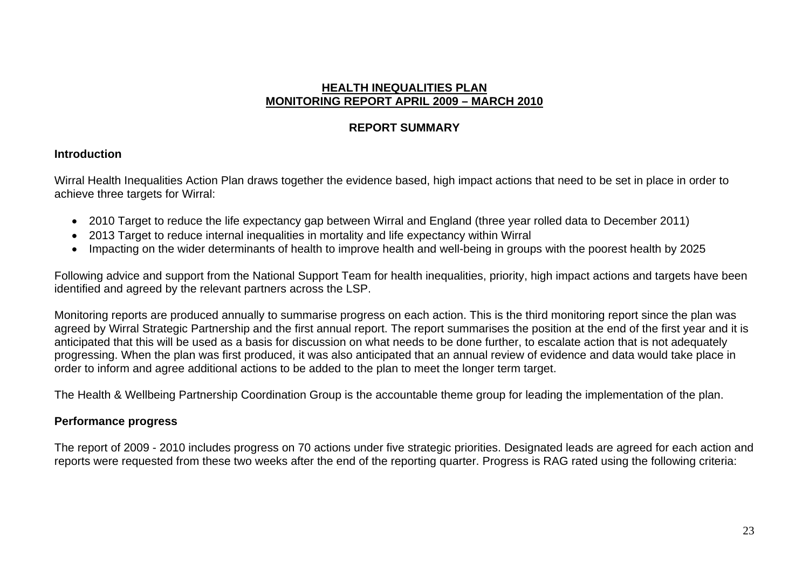# **HEALTH INEQUALITIES PLANMONITORING REPORT APRIL 2009 – MARCH 2010**

# **REPORT SUMMARY**

# **Introduction**

Wirral Health Inequalities Action Plan draws together the evidence based, high impact actions that need to be set in place in order to achieve three targets for Wirral:

- 2010 Target to reduce the life expectancy gap between Wirral and England (three year rolled data to December 2011)
- 2013 Target to reduce internal inequalities in mortality and life expectancy within Wirral
- Impacting on the wider determinants of health to improve health and well-being in groups with the poorest health by 2025

Following advice and support from the National Support Team for health inequalities, priority, high impact actions and targets have been identified and agreed by the relevant partners across the LSP.

Monitoring reports are produced annually to summarise progress on each action. This is the third monitoring report since the plan was agreed by Wirral Strategic Partnership and the first annual report. The report summarises the position at the end of the first year and it is anticipated that this will be used as a basis for discussion on what needs to be done further, to escalate action that is not adequately progressing. When the plan was first produced, it was also anticipated that an annual review of evidence and data would take place in order to inform and agree additional actions to be added to the plan to meet the longer term target.

The Health & Wellbeing Partnership Coordination Group is the accountable theme group for leading the implementation of the plan.

# **Performance progress**

The report of 2009 - 2010 includes progress on 70 actions under five strategic priorities. Designated leads are agreed for each action and reports were requested from these two weeks after the end of the reporting quarter. Progress is RAG rated using the following criteria: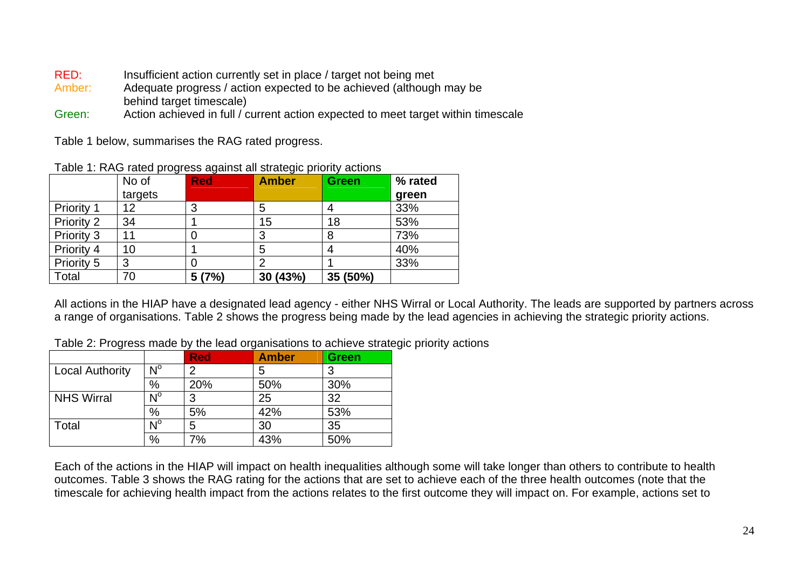- RED: Insufficient action currently set in place / target not being met
- Amber: Adequate progress / action expected to be achieved (although may be behind target timescale)
- Green:Action achieved in full / current action expected to meet target within timescale

Table 1 below, summarises the RAG rated progress.

|                   | No of<br>targets | <b>Red</b> | <b>Amber</b> | <b>Green</b> | % rated<br>green |
|-------------------|------------------|------------|--------------|--------------|------------------|
| <b>Priority 1</b> | 12               | 3          | 5            |              | 33%              |
| Priority 2        | 34               |            | 15           | 18           | 53%              |
| Priority 3        | 11               |            | າ            | 8            | 73%              |
| Priority 4        | 10               |            | 5            |              | 40%              |
| Priority 5        | 3                |            |              |              | 33%              |
| Total             | 70               | 5(7%)      | 30 (43%)     | 35 (50%)     |                  |

Table 1: RAG rated progress against all strategic priority actions

All actions in the HIAP have a designated lead agency - either NHS Wirral or Local Authority. The leads are supported by partners across a range of organisations. Table 2 shows the progress being made by the lead agencies in achieving the strategic priority actions.

Table 2: Progress made by the lead organisations to achieve strategic priority actions

|                        |                         | <b>Red</b> | <b>Amber</b> | <b>Green</b> |
|------------------------|-------------------------|------------|--------------|--------------|
| <b>Local Authority</b> | $N^{\circ}$             | ົ          | 5            | 3            |
|                        | $\%$                    | 20%        | 50%          | 30%          |
| <b>NHS Wirral</b>      | $\mathsf{N}^\mathsf{o}$ |            | 25           | 32           |
|                        | %                       | 5%         | 42%          | 53%          |
| Total                  | $N^{\circ}$             | 5          | 30           | 35           |
|                        | %                       | 7%         | 43%          | 50%          |

Each of the actions in the HIAP will impact on health inequalities although some will take longer than others to contribute to health outcomes. Table 3 shows the RAG rating for the actions that are set to achieve each of the three health outcomes (note that the timescale for achieving health impact from the actions relates to the first outcome they will impact on. For example, actions set to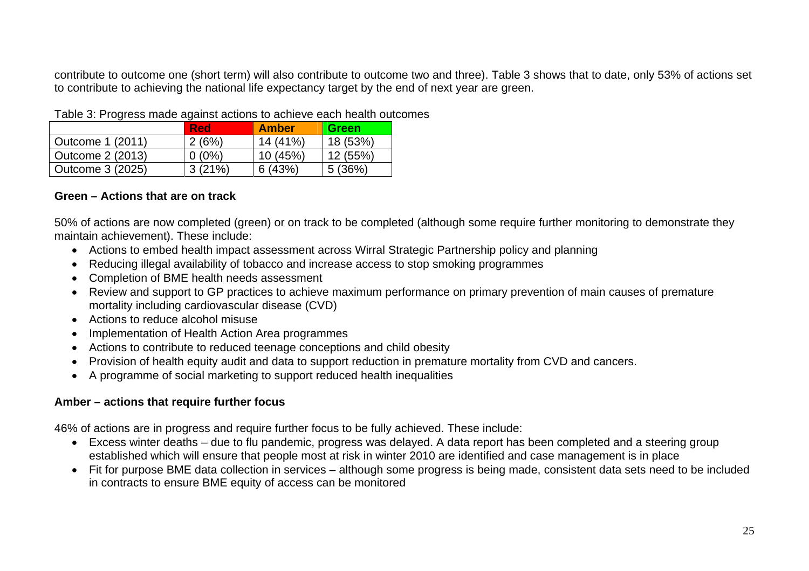contribute to outcome one (short term) will also contribute to outcome two and three). Table 3 shows that to date, only 53% of actions set to contribute to achieving the national life expectancy target by the end of next year are green.

|                  | <b>Red</b> | <b>Amber</b> | Green    |
|------------------|------------|--------------|----------|
| Outcome 1 (2011) | 2(6%)      | 14 (41%)     | 18 (53%) |
| Outcome 2 (2013) | $0(0\%)$   | 10 (45%)     | 12 (55%) |
| Outcome 3 (2025) | 3(21%)     | 6(43%)       | 5(36%)   |

Table 3: Progress made against actions to achieve each health outcomes

# **Green – Actions that are on track**

50% of actions are now completed (green) or on track to be completed (although some require further monitoring to demonstrate they maintain achievement). These include:

- Actions to embed health impact assessment across Wirral Strategic Partnership policy and planning
- Reducing illegal availability of tobacco and increase access to stop smoking programmes
- Completion of BME health needs assessment
- Review and support to GP practices to achieve maximum performance on primary prevention of main causes of premature mortality including cardiovascular disease (CVD)
- Actions to reduce alcohol misuse
- Implementation of Health Action Area programmes
- Actions to contribute to reduced teenage conceptions and child obesity
- Provision of health equity audit and data to support reduction in premature mortality from CVD and cancers.
- A programme of social marketing to support reduced health inequalities

# **Amber – actions that require further focus**

46% of actions are in progress and require further focus to be fully achieved. These include:

- Excess winter deaths due to flu pandemic, progress was delayed. A data report has been completed and a steering group established which will ensure that people most at risk in winter 2010 are identified and case management is in place
- Fit for purpose BME data collection in services although some progress is being made, consistent data sets need to be included in contracts to ensure BME equity of access can be monitored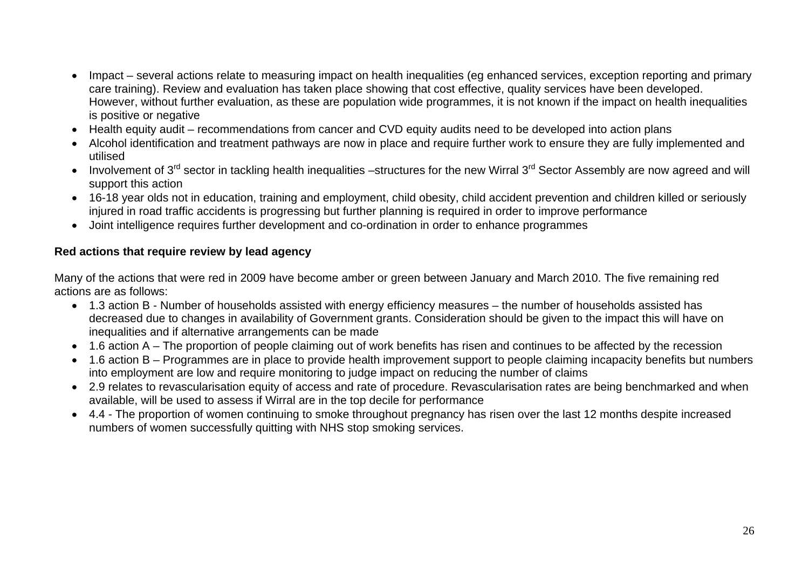- Impact several actions relate to measuring impact on health inequalities (eg enhanced services, exception reporting and primary care training). Review and evaluation has taken place showing that cost effective, quality services have been developed. However, without further evaluation, as these are population wide programmes, it is not known if the impact on health inequalities is positive or negative
- Health equity audit recommendations from cancer and CVD equity audits need to be developed into action plans
- Alcohol identification and treatment pathways are now in place and require further work to ensure they are fully implemented and utilised
- Involvement of 3<sup>rd</sup> sector in tackling health inequalities –structures for the new Wirral 3<sup>rd</sup> Sector Assembly are now agreed and will support this action
- 16-18 year olds not in education, training and employment, child obesity, child accident prevention and children killed or seriously injured in road traffic accidents is progressing but further planning is required in order to improve performance
- Joint intelligence requires further development and co-ordination in order to enhance programmes

# **Red actions that require review by lead agency**

Many of the actions that were red in 2009 have become amber or green between January and March 2010. The five remaining red actions are as follows:

- 1.3 action B Number of households assisted with energy efficiency measures the number of households assisted has decreased due to changes in availability of Government grants. Consideration should be given to the impact this will have on inequalities and if alternative arrangements can be made
- 1.6 action A The proportion of people claiming out of work benefits has risen and continues to be affected by the recession
- 1.6 action B Programmes are in place to provide health improvement support to people claiming incapacity benefits but numbers into employment are low and require monitoring to judge impact on reducing the number of claims
- 2.9 relates to revascularisation equity of access and rate of procedure. Revascularisation rates are being benchmarked and when available, will be used to assess if Wirral are in the top decile for performance
- 4.4 The proportion of women continuing to smoke throughout pregnancy has risen over the last 12 months despite increased numbers of women successfully quitting with NHS stop smoking services.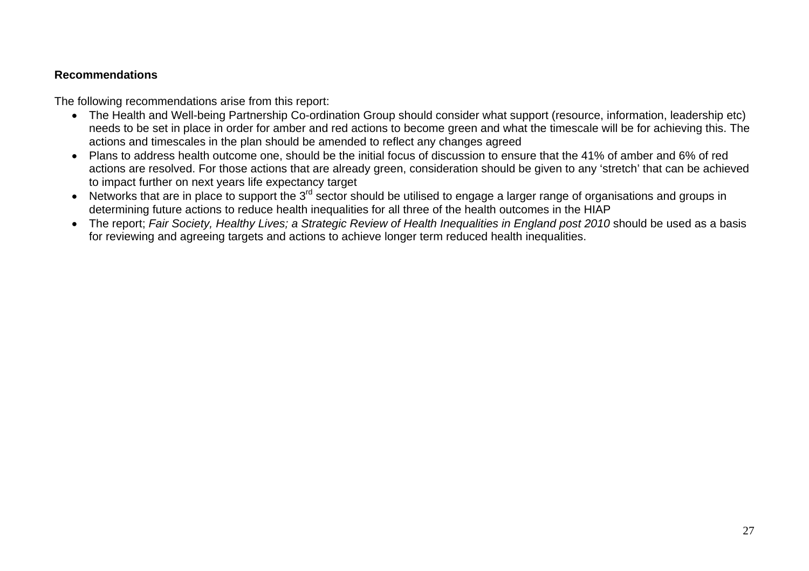# **Recommendations**

The following recommendations arise from this report:

- The Health and Well-being Partnership Co-ordination Group should consider what support (resource, information, leadership etc) needs to be set in place in order for amber and red actions to become green and what the timescale will be for achieving this. The actions and timescales in the plan should be amended to reflect any changes agreed
- Plans to address health outcome one, should be the initial focus of discussion to ensure that the 41% of amber and 6% of red actions are resolved. For those actions that are already green, consideration should be given to any 'stretch' that can be achieved to impact further on next years life expectancy target
- Networks that are in place to support the 3<sup>rd</sup> sector should be utilised to engage a larger range of organisations and groups in determining future actions to reduce health inequalities for all three of the health outcomes in the HIAP
- The report; Fair Society, Healthy Lives; a Strategic Review of Health Inequalities in England post 2010 should be used as a basis for reviewing and agreeing targets and actions to achieve longer term reduced health inequalities.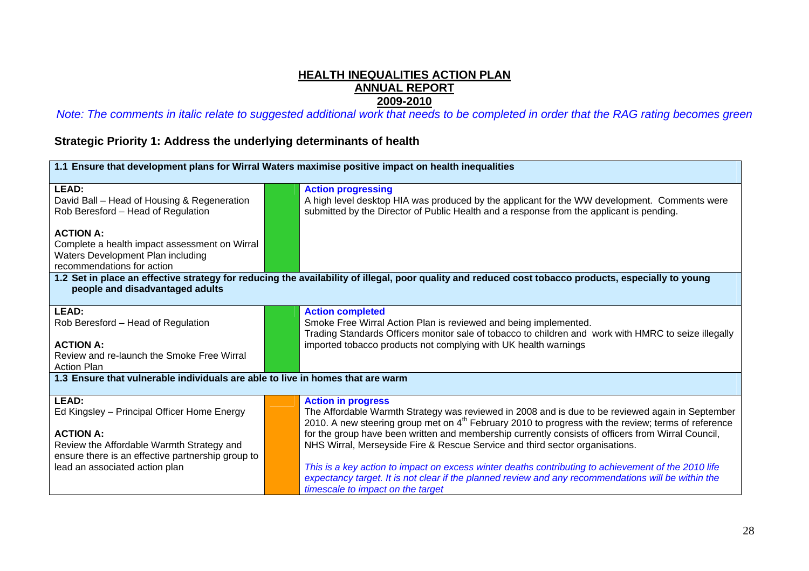# **HEALTH INEQUALITIES ACTION PLAN ANNUAL REPORT**

**2009-2010**  *Note: The comments in italic relate to suggested additional work that needs to be completed in order that the RAG rating becomes green* 

**Strategic Priority 1: Address the underlying determinants of health** 

| 1.1 Ensure that development plans for Wirral Waters maximise positive impact on health inequalities |                                                                                                                                                                                                                     |  |  |  |
|-----------------------------------------------------------------------------------------------------|---------------------------------------------------------------------------------------------------------------------------------------------------------------------------------------------------------------------|--|--|--|
| LEAD:                                                                                               | <b>Action progressing</b>                                                                                                                                                                                           |  |  |  |
| David Ball - Head of Housing & Regeneration                                                         | A high level desktop HIA was produced by the applicant for the WW development. Comments were                                                                                                                        |  |  |  |
| Rob Beresford - Head of Regulation                                                                  | submitted by the Director of Public Health and a response from the applicant is pending.                                                                                                                            |  |  |  |
| <b>ACTION A:</b>                                                                                    |                                                                                                                                                                                                                     |  |  |  |
| Complete a health impact assessment on Wirral                                                       |                                                                                                                                                                                                                     |  |  |  |
| Waters Development Plan including                                                                   |                                                                                                                                                                                                                     |  |  |  |
| recommendations for action                                                                          |                                                                                                                                                                                                                     |  |  |  |
| people and disadvantaged adults                                                                     | 1.2 Set in place an effective strategy for reducing the availability of illegal, poor quality and reduced cost tobacco products, especially to young                                                                |  |  |  |
|                                                                                                     |                                                                                                                                                                                                                     |  |  |  |
| <b>LEAD:</b>                                                                                        | <b>Action completed</b>                                                                                                                                                                                             |  |  |  |
| Rob Beresford - Head of Regulation                                                                  | Smoke Free Wirral Action Plan is reviewed and being implemented.                                                                                                                                                    |  |  |  |
| <b>ACTION A:</b>                                                                                    | Trading Standards Officers monitor sale of tobacco to children and work with HMRC to seize illegally<br>imported tobacco products not complying with UK health warnings                                             |  |  |  |
| Review and re-launch the Smoke Free Wirral                                                          |                                                                                                                                                                                                                     |  |  |  |
| <b>Action Plan</b>                                                                                  |                                                                                                                                                                                                                     |  |  |  |
| 1.3 Ensure that vulnerable individuals are able to live in homes that are warm                      |                                                                                                                                                                                                                     |  |  |  |
|                                                                                                     |                                                                                                                                                                                                                     |  |  |  |
| <b>LEAD:</b>                                                                                        | <b>Action in progress</b>                                                                                                                                                                                           |  |  |  |
| Ed Kingsley - Principal Officer Home Energy                                                         | The Affordable Warmth Strategy was reviewed in 2008 and is due to be reviewed again in September<br>2010. A new steering group met on 4 <sup>th</sup> February 2010 to progress with the review; terms of reference |  |  |  |
| <b>ACTION A:</b>                                                                                    | for the group have been written and membership currently consists of officers from Wirral Council,                                                                                                                  |  |  |  |
| Review the Affordable Warmth Strategy and                                                           | NHS Wirral, Merseyside Fire & Rescue Service and third sector organisations.                                                                                                                                        |  |  |  |
| ensure there is an effective partnership group to                                                   |                                                                                                                                                                                                                     |  |  |  |
| lead an associated action plan                                                                      | This is a key action to impact on excess winter deaths contributing to achievement of the 2010 life                                                                                                                 |  |  |  |
|                                                                                                     | expectancy target. It is not clear if the planned review and any recommendations will be within the                                                                                                                 |  |  |  |
|                                                                                                     | timescale to impact on the target                                                                                                                                                                                   |  |  |  |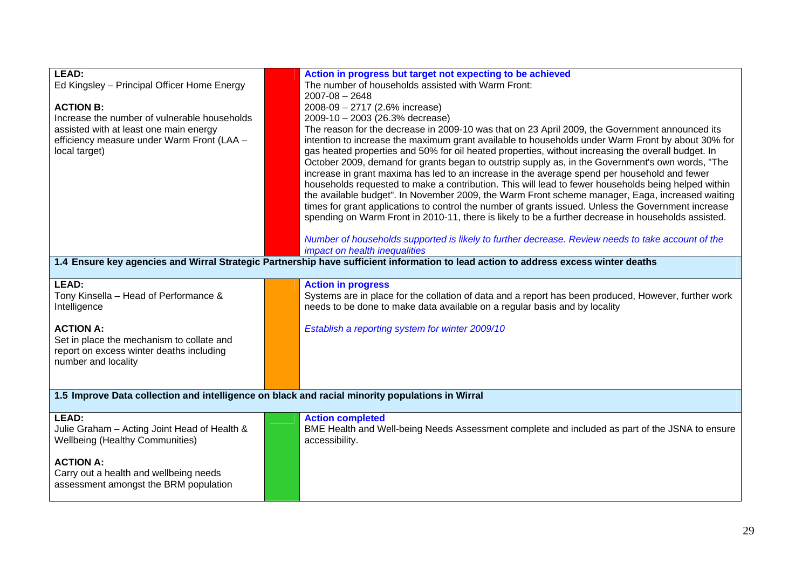| <b>LEAD:</b><br>Ed Kingsley - Principal Officer Home Energy<br><b>ACTION B:</b><br>Increase the number of vulnerable households<br>assisted with at least one main energy<br>efficiency measure under Warm Front (LAA -<br>local target) | Action in progress but target not expecting to be achieved<br>The number of households assisted with Warm Front:<br>$2007 - 08 - 2648$<br>2008-09 - 2717 (2.6% increase)<br>2009-10 - 2003 (26.3% decrease)<br>The reason for the decrease in 2009-10 was that on 23 April 2009, the Government announced its<br>intention to increase the maximum grant available to households under Warm Front by about 30% for<br>gas heated properties and 50% for oil heated properties, without increasing the overall budget. In<br>October 2009, demand for grants began to outstrip supply as, in the Government's own words, "The<br>increase in grant maxima has led to an increase in the average spend per household and fewer<br>households requested to make a contribution. This will lead to fewer households being helped within<br>the available budget". In November 2009, the Warm Front scheme manager, Eaga, increased waiting<br>times for grant applications to control the number of grants issued. Unless the Government increase<br>spending on Warm Front in 2010-11, there is likely to be a further decrease in households assisted.<br>Number of households supported is likely to further decrease. Review needs to take account of the<br>impact on health inequalities<br>1.4 Ensure key agencies and Wirral Strategic Partnership have sufficient information to lead action to address excess winter deaths |
|------------------------------------------------------------------------------------------------------------------------------------------------------------------------------------------------------------------------------------------|-----------------------------------------------------------------------------------------------------------------------------------------------------------------------------------------------------------------------------------------------------------------------------------------------------------------------------------------------------------------------------------------------------------------------------------------------------------------------------------------------------------------------------------------------------------------------------------------------------------------------------------------------------------------------------------------------------------------------------------------------------------------------------------------------------------------------------------------------------------------------------------------------------------------------------------------------------------------------------------------------------------------------------------------------------------------------------------------------------------------------------------------------------------------------------------------------------------------------------------------------------------------------------------------------------------------------------------------------------------------------------------------------------------------------------------|
| LEAD:<br>Tony Kinsella - Head of Performance &<br>Intelligence                                                                                                                                                                           | <b>Action in progress</b><br>Systems are in place for the collation of data and a report has been produced, However, further work<br>needs to be done to make data available on a regular basis and by locality                                                                                                                                                                                                                                                                                                                                                                                                                                                                                                                                                                                                                                                                                                                                                                                                                                                                                                                                                                                                                                                                                                                                                                                                                   |
| <b>ACTION A:</b><br>Set in place the mechanism to collate and<br>report on excess winter deaths including<br>number and locality                                                                                                         | Establish a reporting system for winter 2009/10                                                                                                                                                                                                                                                                                                                                                                                                                                                                                                                                                                                                                                                                                                                                                                                                                                                                                                                                                                                                                                                                                                                                                                                                                                                                                                                                                                                   |
|                                                                                                                                                                                                                                          | 1.5 Improve Data collection and intelligence on black and racial minority populations in Wirral                                                                                                                                                                                                                                                                                                                                                                                                                                                                                                                                                                                                                                                                                                                                                                                                                                                                                                                                                                                                                                                                                                                                                                                                                                                                                                                                   |
| LEAD:<br>Julie Graham - Acting Joint Head of Health &<br><b>Wellbeing (Healthy Communities)</b>                                                                                                                                          | <b>Action completed</b><br>BME Health and Well-being Needs Assessment complete and included as part of the JSNA to ensure<br>accessibility.                                                                                                                                                                                                                                                                                                                                                                                                                                                                                                                                                                                                                                                                                                                                                                                                                                                                                                                                                                                                                                                                                                                                                                                                                                                                                       |
| <b>ACTION A:</b><br>Carry out a health and wellbeing needs<br>assessment amongst the BRM population                                                                                                                                      |                                                                                                                                                                                                                                                                                                                                                                                                                                                                                                                                                                                                                                                                                                                                                                                                                                                                                                                                                                                                                                                                                                                                                                                                                                                                                                                                                                                                                                   |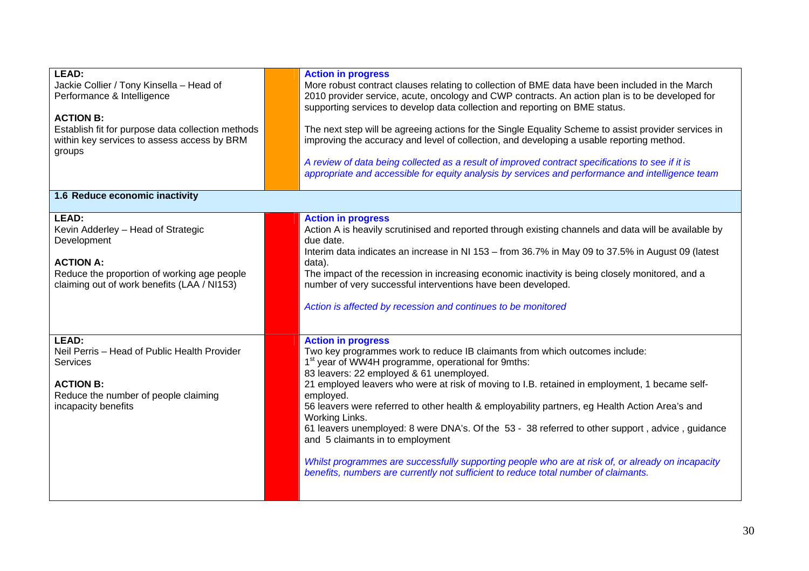| LEAD:<br>Jackie Collier / Tony Kinsella - Head of<br>Performance & Intelligence<br><b>ACTION B:</b><br>Establish fit for purpose data collection methods<br>within key services to assess access by BRM<br>groups | <b>Action in progress</b><br>More robust contract clauses relating to collection of BME data have been included in the March<br>2010 provider service, acute, oncology and CWP contracts. An action plan is to be developed for<br>supporting services to develop data collection and reporting on BME status.<br>The next step will be agreeing actions for the Single Equality Scheme to assist provider services in<br>improving the accuracy and level of collection, and developing a usable reporting method.<br>A review of data being collected as a result of improved contract specifications to see if it is<br>appropriate and accessible for equity analysis by services and performance and intelligence team                                                                 |
|-------------------------------------------------------------------------------------------------------------------------------------------------------------------------------------------------------------------|---------------------------------------------------------------------------------------------------------------------------------------------------------------------------------------------------------------------------------------------------------------------------------------------------------------------------------------------------------------------------------------------------------------------------------------------------------------------------------------------------------------------------------------------------------------------------------------------------------------------------------------------------------------------------------------------------------------------------------------------------------------------------------------------|
| 1.6 Reduce economic inactivity                                                                                                                                                                                    |                                                                                                                                                                                                                                                                                                                                                                                                                                                                                                                                                                                                                                                                                                                                                                                             |
| <b>LEAD:</b><br>Kevin Adderley - Head of Strategic<br>Development<br><b>ACTION A:</b><br>Reduce the proportion of working age people<br>claiming out of work benefits (LAA / NI153)                               | <b>Action in progress</b><br>Action A is heavily scrutinised and reported through existing channels and data will be available by<br>due date.<br>Interim data indicates an increase in NI 153 - from 36.7% in May 09 to 37.5% in August 09 (latest<br>data).<br>The impact of the recession in increasing economic inactivity is being closely monitored, and a<br>number of very successful interventions have been developed.<br>Action is affected by recession and continues to be monitored                                                                                                                                                                                                                                                                                           |
| LEAD:<br>Neil Perris - Head of Public Health Provider<br>Services<br><b>ACTION B:</b><br>Reduce the number of people claiming<br>incapacity benefits                                                              | <b>Action in progress</b><br>Two key programmes work to reduce IB claimants from which outcomes include:<br>1 <sup>st</sup> year of WW4H programme, operational for 9mths:<br>83 leavers: 22 employed & 61 unemployed.<br>21 employed leavers who were at risk of moving to I.B. retained in employment, 1 became self-<br>employed.<br>56 leavers were referred to other health & employability partners, eg Health Action Area's and<br>Working Links.<br>61 leavers unemployed: 8 were DNA's. Of the 53 - 38 referred to other support, advice, guidance<br>and 5 claimants in to employment<br>Whilst programmes are successfully supporting people who are at risk of, or already on incapacity<br>benefits, numbers are currently not sufficient to reduce total number of claimants. |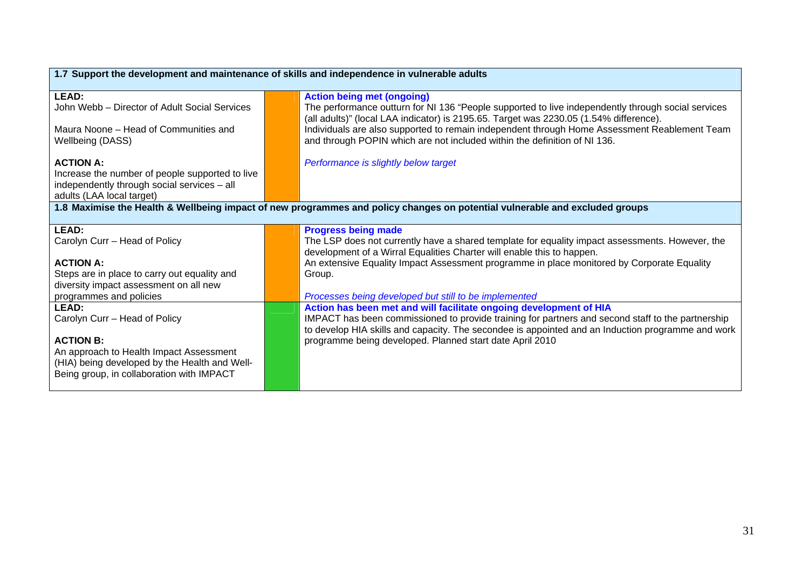| 1.7 Support the development and maintenance of skills and independence in vulnerable adults                                                     |                                                                                                                                                                                                                                                                     |  |  |
|-------------------------------------------------------------------------------------------------------------------------------------------------|---------------------------------------------------------------------------------------------------------------------------------------------------------------------------------------------------------------------------------------------------------------------|--|--|
| <b>LEAD:</b><br>John Webb - Director of Adult Social Services                                                                                   | <b>Action being met (ongoing)</b><br>The performance outturn for NI 136 "People supported to live independently through social services                                                                                                                             |  |  |
| Maura Noone – Head of Communities and<br>Wellbeing (DASS)                                                                                       | (all adults)" (local LAA indicator) is 2195.65. Target was 2230.05 (1.54% difference).<br>Individuals are also supported to remain independent through Home Assessment Reablement Team<br>and through POPIN which are not included within the definition of NI 136. |  |  |
| <b>ACTION A:</b><br>Increase the number of people supported to live<br>independently through social services - all<br>adults (LAA local target) | Performance is slightly below target                                                                                                                                                                                                                                |  |  |
|                                                                                                                                                 | 1.8 Maximise the Health & Wellbeing impact of new programmes and policy changes on potential vulnerable and excluded groups                                                                                                                                         |  |  |
| LEAD:                                                                                                                                           | <b>Progress being made</b>                                                                                                                                                                                                                                          |  |  |
| Carolyn Curr - Head of Policy                                                                                                                   | The LSP does not currently have a shared template for equality impact assessments. However, the                                                                                                                                                                     |  |  |
|                                                                                                                                                 | development of a Wirral Equalities Charter will enable this to happen.                                                                                                                                                                                              |  |  |
| <b>ACTION A:</b>                                                                                                                                | An extensive Equality Impact Assessment programme in place monitored by Corporate Equality                                                                                                                                                                          |  |  |
| Steps are in place to carry out equality and                                                                                                    | Group.                                                                                                                                                                                                                                                              |  |  |
| diversity impact assessment on all new                                                                                                          |                                                                                                                                                                                                                                                                     |  |  |
| programmes and policies                                                                                                                         | Processes being developed but still to be implemented                                                                                                                                                                                                               |  |  |
| <b>LEAD:</b>                                                                                                                                    | Action has been met and will facilitate ongoing development of HIA                                                                                                                                                                                                  |  |  |
| Carolyn Curr - Head of Policy                                                                                                                   | IMPACT has been commissioned to provide training for partners and second staff to the partnership                                                                                                                                                                   |  |  |
|                                                                                                                                                 | to develop HIA skills and capacity. The secondee is appointed and an Induction programme and work                                                                                                                                                                   |  |  |
| <b>ACTION B:</b>                                                                                                                                | programme being developed. Planned start date April 2010                                                                                                                                                                                                            |  |  |
| An approach to Health Impact Assessment                                                                                                         |                                                                                                                                                                                                                                                                     |  |  |
| (HIA) being developed by the Health and Well-                                                                                                   |                                                                                                                                                                                                                                                                     |  |  |
| Being group, in collaboration with IMPACT                                                                                                       |                                                                                                                                                                                                                                                                     |  |  |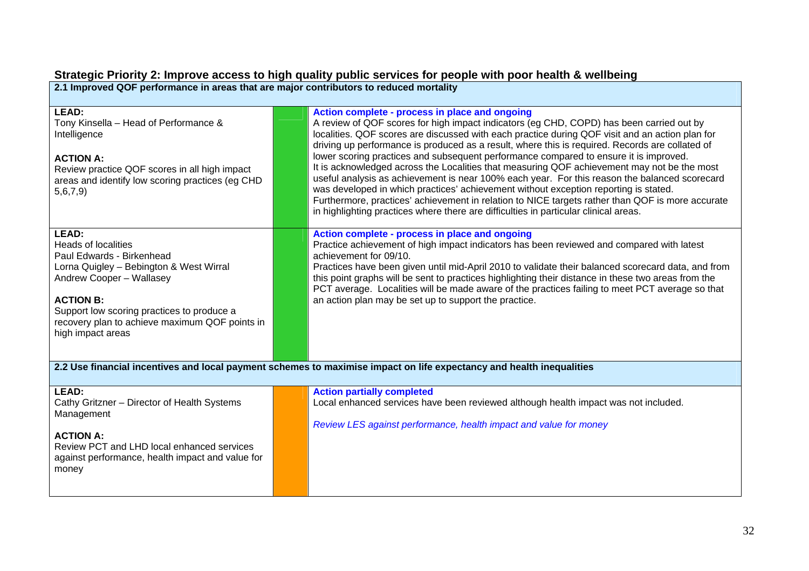## **Strategic Priority 2: Improve access to high quality public services for people with poor health & wellbeing**

**2.1 Improved QOF performance in areas that are major contributors to reduced mortality** 

| <b>LEAD:</b><br>Tony Kinsella - Head of Performance &<br>Intelligence<br><b>ACTION A:</b><br>Review practice QOF scores in all high impact<br>areas and identify low scoring practices (eg CHD<br>5,6,7,9                                                                               | Action complete - process in place and ongoing<br>A review of QOF scores for high impact indicators (eg CHD, COPD) has been carried out by<br>localities. QOF scores are discussed with each practice during QOF visit and an action plan for<br>driving up performance is produced as a result, where this is required. Records are collated of<br>lower scoring practices and subsequent performance compared to ensure it is improved.<br>It is acknowledged across the Localities that measuring QOF achievement may not be the most<br>useful analysis as achievement is near 100% each year. For this reason the balanced scorecard<br>was developed in which practices' achievement without exception reporting is stated.<br>Furthermore, practices' achievement in relation to NICE targets rather than QOF is more accurate<br>in highlighting practices where there are difficulties in particular clinical areas. |
|-----------------------------------------------------------------------------------------------------------------------------------------------------------------------------------------------------------------------------------------------------------------------------------------|-------------------------------------------------------------------------------------------------------------------------------------------------------------------------------------------------------------------------------------------------------------------------------------------------------------------------------------------------------------------------------------------------------------------------------------------------------------------------------------------------------------------------------------------------------------------------------------------------------------------------------------------------------------------------------------------------------------------------------------------------------------------------------------------------------------------------------------------------------------------------------------------------------------------------------|
| <b>LEAD:</b><br><b>Heads of localities</b><br>Paul Edwards - Birkenhead<br>Lorna Quigley - Bebington & West Wirral<br>Andrew Cooper - Wallasey<br><b>ACTION B:</b><br>Support low scoring practices to produce a<br>recovery plan to achieve maximum QOF points in<br>high impact areas | Action complete - process in place and ongoing<br>Practice achievement of high impact indicators has been reviewed and compared with latest<br>achievement for 09/10.<br>Practices have been given until mid-April 2010 to validate their balanced scorecard data, and from<br>this point graphs will be sent to practices highlighting their distance in these two areas from the<br>PCT average. Localities will be made aware of the practices failing to meet PCT average so that<br>an action plan may be set up to support the practice.                                                                                                                                                                                                                                                                                                                                                                                |
|                                                                                                                                                                                                                                                                                         | 2.2 Use financial incentives and local payment schemes to maximise impact on life expectancy and health inequalities                                                                                                                                                                                                                                                                                                                                                                                                                                                                                                                                                                                                                                                                                                                                                                                                          |
| <b>LEAD:</b><br>Cathy Gritzner - Director of Health Systems<br>Management<br><b>ACTION A:</b><br>Review PCT and LHD local enhanced services<br>against performance, health impact and value for<br>money                                                                                | <b>Action partially completed</b><br>Local enhanced services have been reviewed although health impact was not included.<br>Review LES against performance, health impact and value for money                                                                                                                                                                                                                                                                                                                                                                                                                                                                                                                                                                                                                                                                                                                                 |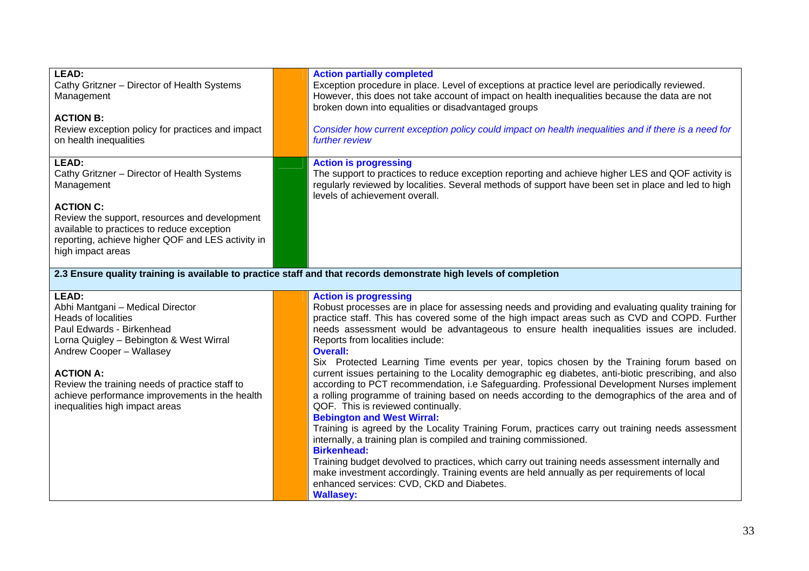| LEAD:<br>Cathy Gritzner - Director of Health Systems<br>Management<br><b>ACTION B:</b><br>Review exception policy for practices and impact<br>on health inequalities                                                                                                                                                                  |  | <b>Action partially completed</b><br>Exception procedure in place. Level of exceptions at practice level are periodically reviewed.<br>However, this does not take account of impact on health inequalities because the data are not<br>broken down into equalities or disadvantaged groups<br>Consider how current exception policy could impact on health inequalities and if there is a need for<br>further review                                                                                                                                                                                                                                                                                                                                                                                                                                                                                                                                                                                                                                                                                                                                                                                                                                                                                                                         |  |
|---------------------------------------------------------------------------------------------------------------------------------------------------------------------------------------------------------------------------------------------------------------------------------------------------------------------------------------|--|-----------------------------------------------------------------------------------------------------------------------------------------------------------------------------------------------------------------------------------------------------------------------------------------------------------------------------------------------------------------------------------------------------------------------------------------------------------------------------------------------------------------------------------------------------------------------------------------------------------------------------------------------------------------------------------------------------------------------------------------------------------------------------------------------------------------------------------------------------------------------------------------------------------------------------------------------------------------------------------------------------------------------------------------------------------------------------------------------------------------------------------------------------------------------------------------------------------------------------------------------------------------------------------------------------------------------------------------------|--|
| LEAD:<br>Cathy Gritzner - Director of Health Systems<br>Management<br><b>ACTION C:</b><br>Review the support, resources and development<br>available to practices to reduce exception<br>reporting, achieve higher QOF and LES activity in<br>high impact areas                                                                       |  | <b>Action is progressing</b><br>The support to practices to reduce exception reporting and achieve higher LES and QOF activity is<br>regularly reviewed by localities. Several methods of support have been set in place and led to high<br>levels of achievement overall.                                                                                                                                                                                                                                                                                                                                                                                                                                                                                                                                                                                                                                                                                                                                                                                                                                                                                                                                                                                                                                                                    |  |
| 2.3 Ensure quality training is available to practice staff and that records demonstrate high levels of completion                                                                                                                                                                                                                     |  |                                                                                                                                                                                                                                                                                                                                                                                                                                                                                                                                                                                                                                                                                                                                                                                                                                                                                                                                                                                                                                                                                                                                                                                                                                                                                                                                               |  |
| <b>LEAD:</b><br>Abhi Mantgani - Medical Director<br>Heads of localities<br>Paul Edwards - Birkenhead<br>Lorna Quigley - Bebington & West Wirral<br>Andrew Cooper - Wallasey<br><b>ACTION A:</b><br>Review the training needs of practice staff to<br>achieve performance improvements in the health<br>inequalities high impact areas |  | <b>Action is progressing</b><br>Robust processes are in place for assessing needs and providing and evaluating quality training for<br>practice staff. This has covered some of the high impact areas such as CVD and COPD. Further<br>needs assessment would be advantageous to ensure health inequalities issues are included.<br>Reports from localities include:<br><b>Overall:</b><br>Six Protected Learning Time events per year, topics chosen by the Training forum based on<br>current issues pertaining to the Locality demographic eg diabetes, anti-biotic prescribing, and also<br>according to PCT recommendation, i.e Safeguarding. Professional Development Nurses implement<br>a rolling programme of training based on needs according to the demographics of the area and of<br>QOF. This is reviewed continually.<br><b>Bebington and West Wirral:</b><br>Training is agreed by the Locality Training Forum, practices carry out training needs assessment<br>internally, a training plan is compiled and training commissioned.<br><b>Birkenhead:</b><br>Training budget devolved to practices, which carry out training needs assessment internally and<br>make investment accordingly. Training events are held annually as per requirements of local<br>enhanced services: CVD, CKD and Diabetes.<br><b>Wallasey:</b> |  |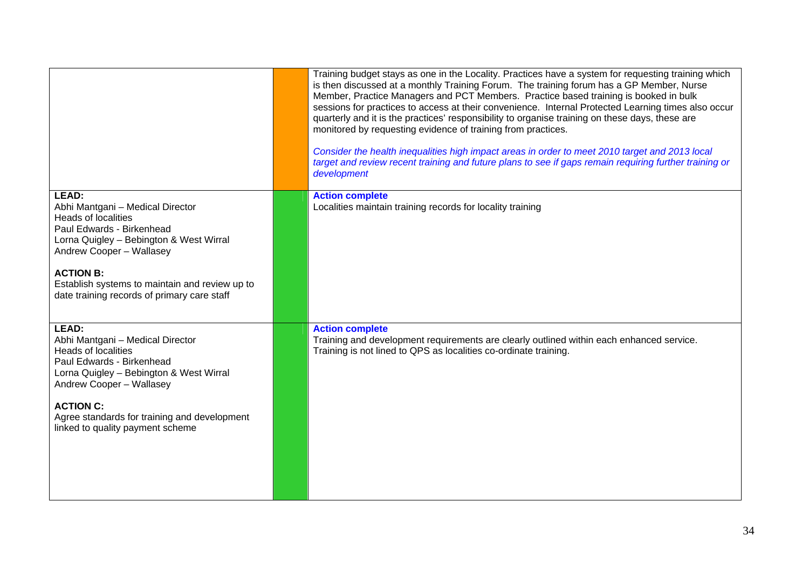|                                                                                                                                                                                                                                                                                                  | Training budget stays as one in the Locality. Practices have a system for requesting training which<br>is then discussed at a monthly Training Forum. The training forum has a GP Member, Nurse<br>Member, Practice Managers and PCT Members. Practice based training is booked in bulk<br>sessions for practices to access at their convenience. Internal Protected Learning times also occur<br>quarterly and it is the practices' responsibility to organise training on these days, these are<br>monitored by requesting evidence of training from practices.<br>Consider the health inequalities high impact areas in order to meet 2010 target and 2013 local<br>target and review recent training and future plans to see if gaps remain requiring further training or<br>development |
|--------------------------------------------------------------------------------------------------------------------------------------------------------------------------------------------------------------------------------------------------------------------------------------------------|----------------------------------------------------------------------------------------------------------------------------------------------------------------------------------------------------------------------------------------------------------------------------------------------------------------------------------------------------------------------------------------------------------------------------------------------------------------------------------------------------------------------------------------------------------------------------------------------------------------------------------------------------------------------------------------------------------------------------------------------------------------------------------------------|
| LEAD:<br>Abhi Mantgani - Medical Director<br><b>Heads of localities</b><br>Paul Edwards - Birkenhead<br>Lorna Quigley - Bebington & West Wirral<br>Andrew Cooper - Wallasey<br><b>ACTION B:</b><br>Establish systems to maintain and review up to<br>date training records of primary care staff | <b>Action complete</b><br>Localities maintain training records for locality training                                                                                                                                                                                                                                                                                                                                                                                                                                                                                                                                                                                                                                                                                                         |
| LEAD:<br>Abhi Mantgani - Medical Director<br>Heads of localities<br>Paul Edwards - Birkenhead<br>Lorna Quigley - Bebington & West Wirral<br>Andrew Cooper - Wallasey<br><b>ACTION C:</b><br>Agree standards for training and development<br>linked to quality payment scheme                     | <b>Action complete</b><br>Training and development requirements are clearly outlined within each enhanced service.<br>Training is not lined to QPS as localities co-ordinate training.                                                                                                                                                                                                                                                                                                                                                                                                                                                                                                                                                                                                       |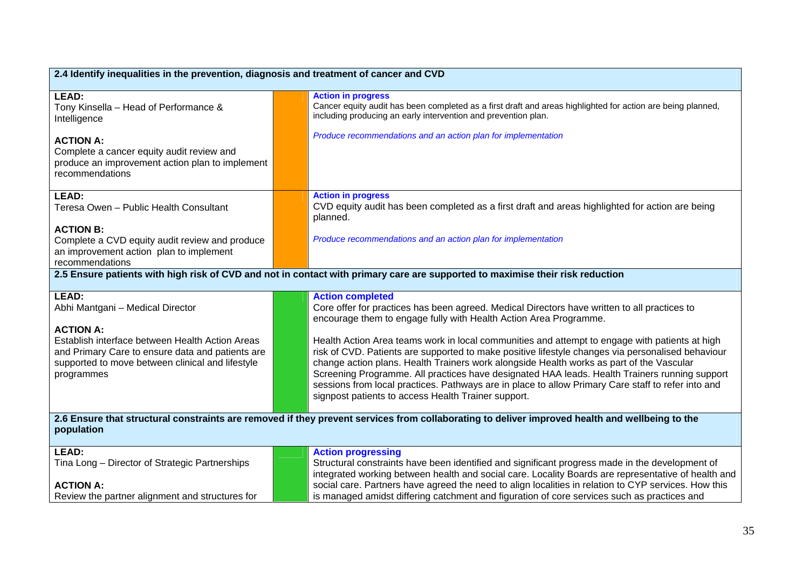| 2.4 Identify inequalities in the prevention, diagnosis and treatment of cancer and CVD                                                                                                    |  |                                                                                                                                                                                                                                                                                                                                                                                                                                                                                                                                                               |
|-------------------------------------------------------------------------------------------------------------------------------------------------------------------------------------------|--|---------------------------------------------------------------------------------------------------------------------------------------------------------------------------------------------------------------------------------------------------------------------------------------------------------------------------------------------------------------------------------------------------------------------------------------------------------------------------------------------------------------------------------------------------------------|
| LEAD:<br>Tony Kinsella - Head of Performance &<br>Intelligence                                                                                                                            |  | <b>Action in progress</b><br>Cancer equity audit has been completed as a first draft and areas highlighted for action are being planned,<br>including producing an early intervention and prevention plan.                                                                                                                                                                                                                                                                                                                                                    |
| <b>ACTION A:</b><br>Complete a cancer equity audit review and<br>produce an improvement action plan to implement<br>recommendations                                                       |  | Produce recommendations and an action plan for implementation                                                                                                                                                                                                                                                                                                                                                                                                                                                                                                 |
| <b>LEAD:</b><br>Teresa Owen - Public Health Consultant                                                                                                                                    |  | <b>Action in progress</b><br>CVD equity audit has been completed as a first draft and areas highlighted for action are being<br>planned.                                                                                                                                                                                                                                                                                                                                                                                                                      |
| <b>ACTION B:</b><br>Complete a CVD equity audit review and produce<br>an improvement action plan to implement<br>recommendations                                                          |  | Produce recommendations and an action plan for implementation                                                                                                                                                                                                                                                                                                                                                                                                                                                                                                 |
|                                                                                                                                                                                           |  | 2.5 Ensure patients with high risk of CVD and not in contact with primary care are supported to maximise their risk reduction                                                                                                                                                                                                                                                                                                                                                                                                                                 |
| <b>LEAD:</b><br>Abhi Mantgani - Medical Director                                                                                                                                          |  | <b>Action completed</b><br>Core offer for practices has been agreed. Medical Directors have written to all practices to<br>encourage them to engage fully with Health Action Area Programme.                                                                                                                                                                                                                                                                                                                                                                  |
| <b>ACTION A:</b><br>Establish interface between Health Action Areas<br>and Primary Care to ensure data and patients are<br>supported to move between clinical and lifestyle<br>programmes |  | Health Action Area teams work in local communities and attempt to engage with patients at high<br>risk of CVD. Patients are supported to make positive lifestyle changes via personalised behaviour<br>change action plans. Health Trainers work alongside Health works as part of the Vascular<br>Screening Programme. All practices have designated HAA leads. Health Trainers running support<br>sessions from local practices. Pathways are in place to allow Primary Care staff to refer into and<br>signpost patients to access Health Trainer support. |
| 2.6 Ensure that structural constraints are removed if they prevent services from collaborating to deliver improved health and wellbeing to the<br>population                              |  |                                                                                                                                                                                                                                                                                                                                                                                                                                                                                                                                                               |
| LEAD:<br>Tina Long - Director of Strategic Partnerships                                                                                                                                   |  | <b>Action progressing</b><br>Structural constraints have been identified and significant progress made in the development of<br>integrated working between health and social care. Locality Boards are representative of health and                                                                                                                                                                                                                                                                                                                           |
| <b>ACTION A:</b><br>Review the partner alignment and structures for                                                                                                                       |  | social care. Partners have agreed the need to align localities in relation to CYP services. How this<br>is managed amidst differing catchment and figuration of core services such as practices and                                                                                                                                                                                                                                                                                                                                                           |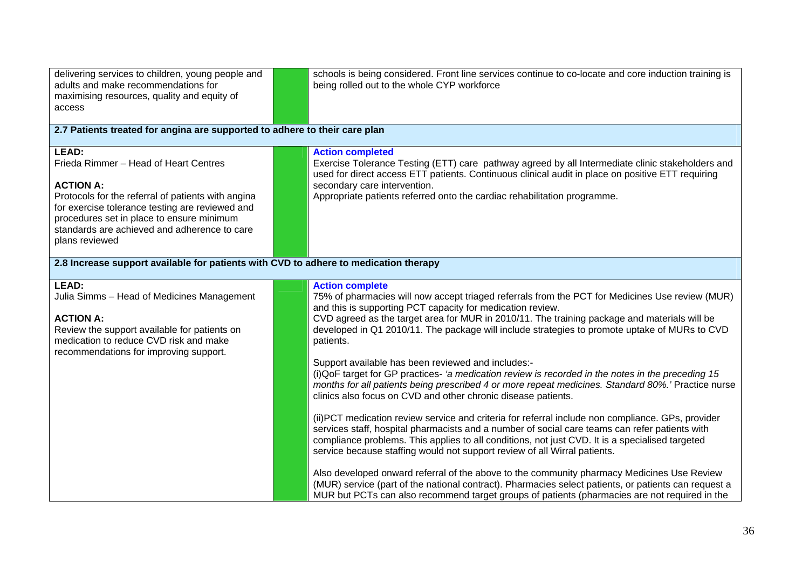| delivering services to children, young people and<br>adults and make recommendations for<br>maximising resources, quality and equity of<br>access                                                                                                                                                 | schools is being considered. Front line services continue to co-locate and core induction training is<br>being rolled out to the whole CYP workforce                                                                                                                                                                                                                                                                                                                                                                                                                                                                                                                                                                                                                                                                                                                                                                                                                                                                                                                                                                                                                                                                                                                                                                                                                                                                                    |  |  |
|---------------------------------------------------------------------------------------------------------------------------------------------------------------------------------------------------------------------------------------------------------------------------------------------------|-----------------------------------------------------------------------------------------------------------------------------------------------------------------------------------------------------------------------------------------------------------------------------------------------------------------------------------------------------------------------------------------------------------------------------------------------------------------------------------------------------------------------------------------------------------------------------------------------------------------------------------------------------------------------------------------------------------------------------------------------------------------------------------------------------------------------------------------------------------------------------------------------------------------------------------------------------------------------------------------------------------------------------------------------------------------------------------------------------------------------------------------------------------------------------------------------------------------------------------------------------------------------------------------------------------------------------------------------------------------------------------------------------------------------------------------|--|--|
| 2.7 Patients treated for angina are supported to adhere to their care plan                                                                                                                                                                                                                        |                                                                                                                                                                                                                                                                                                                                                                                                                                                                                                                                                                                                                                                                                                                                                                                                                                                                                                                                                                                                                                                                                                                                                                                                                                                                                                                                                                                                                                         |  |  |
| <b>LEAD:</b><br>Frieda Rimmer - Head of Heart Centres<br><b>ACTION A:</b><br>Protocols for the referral of patients with angina<br>for exercise tolerance testing are reviewed and<br>procedures set in place to ensure minimum<br>standards are achieved and adherence to care<br>plans reviewed | <b>Action completed</b><br>Exercise Tolerance Testing (ETT) care pathway agreed by all Intermediate clinic stakeholders and<br>used for direct access ETT patients. Continuous clinical audit in place on positive ETT requiring<br>secondary care intervention.<br>Appropriate patients referred onto the cardiac rehabilitation programme.                                                                                                                                                                                                                                                                                                                                                                                                                                                                                                                                                                                                                                                                                                                                                                                                                                                                                                                                                                                                                                                                                            |  |  |
| 2.8 Increase support available for patients with CVD to adhere to medication therapy                                                                                                                                                                                                              |                                                                                                                                                                                                                                                                                                                                                                                                                                                                                                                                                                                                                                                                                                                                                                                                                                                                                                                                                                                                                                                                                                                                                                                                                                                                                                                                                                                                                                         |  |  |
| <b>LEAD:</b><br>Julia Simms - Head of Medicines Management<br><b>ACTION A:</b><br>Review the support available for patients on<br>medication to reduce CVD risk and make<br>recommendations for improving support.                                                                                | <b>Action complete</b><br>75% of pharmacies will now accept triaged referrals from the PCT for Medicines Use review (MUR)<br>and this is supporting PCT capacity for medication review.<br>CVD agreed as the target area for MUR in 2010/11. The training package and materials will be<br>developed in Q1 2010/11. The package will include strategies to promote uptake of MURs to CVD<br>patients.<br>Support available has been reviewed and includes:-<br>(i) QoF target for GP practices- 'a medication review is recorded in the notes in the preceding 15<br>months for all patients being prescribed 4 or more repeat medicines. Standard 80%.' Practice nurse<br>clinics also focus on CVD and other chronic disease patients.<br>(ii) PCT medication review service and criteria for referral include non compliance. GPs, provider<br>services staff, hospital pharmacists and a number of social care teams can refer patients with<br>compliance problems. This applies to all conditions, not just CVD. It is a specialised targeted<br>service because staffing would not support review of all Wirral patients.<br>Also developed onward referral of the above to the community pharmacy Medicines Use Review<br>(MUR) service (part of the national contract). Pharmacies select patients, or patients can request a<br>MUR but PCTs can also recommend target groups of patients (pharmacies are not required in the |  |  |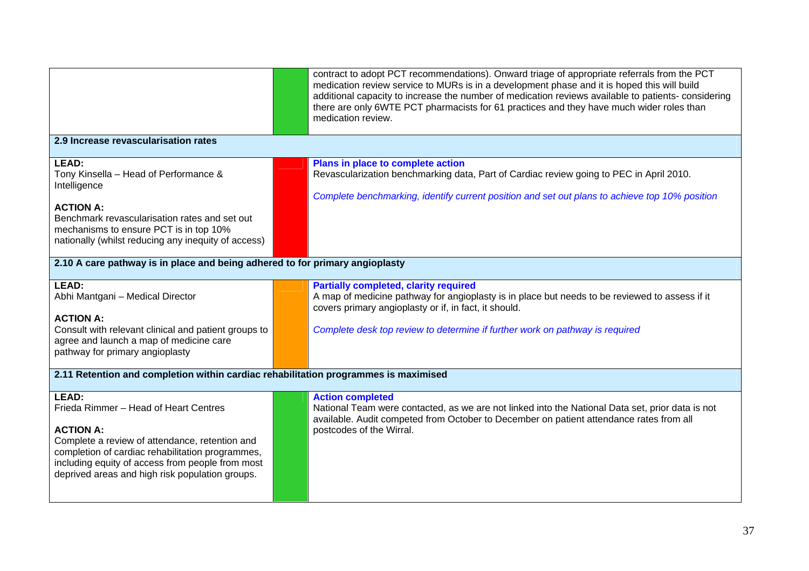|                                                                                                                                                                                                                                                                                        | contract to adopt PCT recommendations). Onward triage of appropriate referrals from the PCT<br>medication review service to MURs is in a development phase and it is hoped this will build<br>additional capacity to increase the number of medication reviews available to patients-considering<br>there are only 6WTE PCT pharmacists for 61 practices and they have much wider roles than<br>medication review. |  |
|----------------------------------------------------------------------------------------------------------------------------------------------------------------------------------------------------------------------------------------------------------------------------------------|--------------------------------------------------------------------------------------------------------------------------------------------------------------------------------------------------------------------------------------------------------------------------------------------------------------------------------------------------------------------------------------------------------------------|--|
| 2.9 Increase revascularisation rates                                                                                                                                                                                                                                                   |                                                                                                                                                                                                                                                                                                                                                                                                                    |  |
| LEAD:<br>Tony Kinsella - Head of Performance &<br>Intelligence<br><b>ACTION A:</b><br>Benchmark revascularisation rates and set out<br>mechanisms to ensure PCT is in top 10%<br>nationally (whilst reducing any inequity of access)                                                   | Plans in place to complete action<br>Revascularization benchmarking data, Part of Cardiac review going to PEC in April 2010.<br>Complete benchmarking, identify current position and set out plans to achieve top 10% position                                                                                                                                                                                     |  |
| 2.10 A care pathway is in place and being adhered to for primary angioplasty                                                                                                                                                                                                           |                                                                                                                                                                                                                                                                                                                                                                                                                    |  |
| LEAD:<br>Abhi Mantgani - Medical Director<br><b>ACTION A:</b><br>Consult with relevant clinical and patient groups to<br>agree and launch a map of medicine care<br>pathway for primary angioplasty                                                                                    | <b>Partially completed, clarity required</b><br>A map of medicine pathway for angioplasty is in place but needs to be reviewed to assess if it<br>covers primary angioplasty or if, in fact, it should.<br>Complete desk top review to determine if further work on pathway is required                                                                                                                            |  |
| 2.11 Retention and completion within cardiac rehabilitation programmes is maximised                                                                                                                                                                                                    |                                                                                                                                                                                                                                                                                                                                                                                                                    |  |
| <b>LEAD:</b><br>Frieda Rimmer - Head of Heart Centres<br><b>ACTION A:</b><br>Complete a review of attendance, retention and<br>completion of cardiac rehabilitation programmes,<br>including equity of access from people from most<br>deprived areas and high risk population groups. | <b>Action completed</b><br>National Team were contacted, as we are not linked into the National Data set, prior data is not<br>available. Audit competed from October to December on patient attendance rates from all<br>postcodes of the Wirral.                                                                                                                                                                 |  |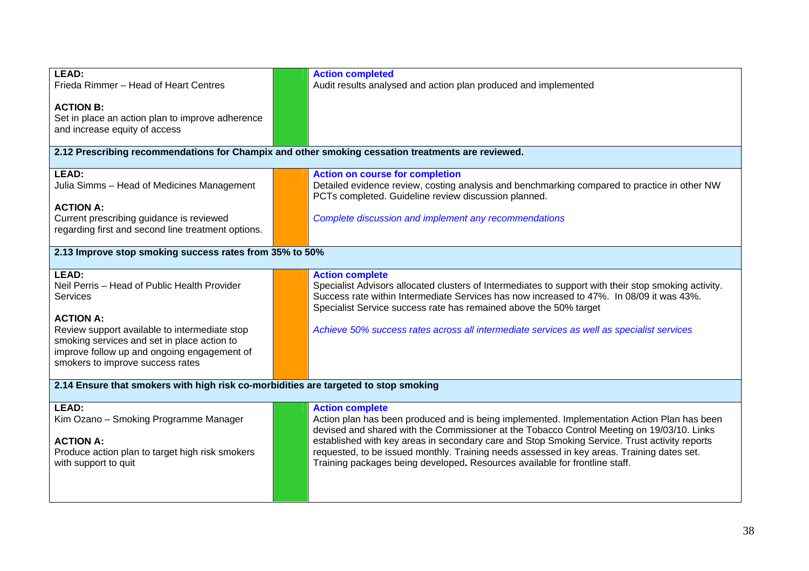| LEAD:                                                                                             | <b>Action completed</b>                                                                              |
|---------------------------------------------------------------------------------------------------|------------------------------------------------------------------------------------------------------|
| Frieda Rimmer - Head of Heart Centres                                                             | Audit results analysed and action plan produced and implemented                                      |
|                                                                                                   |                                                                                                      |
| <b>ACTION B:</b>                                                                                  |                                                                                                      |
|                                                                                                   |                                                                                                      |
| Set in place an action plan to improve adherence                                                  |                                                                                                      |
| and increase equity of access                                                                     |                                                                                                      |
|                                                                                                   |                                                                                                      |
| 2.12 Prescribing recommendations for Champix and other smoking cessation treatments are reviewed. |                                                                                                      |
| <b>LEAD:</b>                                                                                      | <b>Action on course for completion</b>                                                               |
| Julia Simms - Head of Medicines Management                                                        | Detailed evidence review, costing analysis and benchmarking compared to practice in other NW         |
|                                                                                                   | PCTs completed. Guideline review discussion planned.                                                 |
| <b>ACTION A:</b>                                                                                  |                                                                                                      |
| Current prescribing guidance is reviewed                                                          | Complete discussion and implement any recommendations                                                |
| regarding first and second line treatment options.                                                |                                                                                                      |
|                                                                                                   |                                                                                                      |
| 2.13 Improve stop smoking success rates from 35% to 50%                                           |                                                                                                      |
|                                                                                                   |                                                                                                      |
| LEAD:                                                                                             | <b>Action complete</b>                                                                               |
| Neil Perris - Head of Public Health Provider                                                      | Specialist Advisors allocated clusters of Intermediates to support with their stop smoking activity. |
| Services                                                                                          | Success rate within Intermediate Services has now increased to 47%. In 08/09 it was 43%.             |
|                                                                                                   | Specialist Service success rate has remained above the 50% target                                    |
| <b>ACTION A:</b>                                                                                  |                                                                                                      |
| Review support available to intermediate stop                                                     | Achieve 50% success rates across all intermediate services as well as specialist services            |
| smoking services and set in place action to                                                       |                                                                                                      |
| improve follow up and ongoing engagement of                                                       |                                                                                                      |
| smokers to improve success rates                                                                  |                                                                                                      |
|                                                                                                   |                                                                                                      |
| 2.14 Ensure that smokers with high risk co-morbidities are targeted to stop smoking               |                                                                                                      |
|                                                                                                   |                                                                                                      |
| LEAD:                                                                                             | <b>Action complete</b>                                                                               |
| Kim Ozano - Smoking Programme Manager                                                             | Action plan has been produced and is being implemented. Implementation Action Plan has been          |
|                                                                                                   | devised and shared with the Commissioner at the Tobacco Control Meeting on 19/03/10. Links           |
| <b>ACTION A:</b>                                                                                  | established with key areas in secondary care and Stop Smoking Service. Trust activity reports        |
| Produce action plan to target high risk smokers                                                   | requested, to be issued monthly. Training needs assessed in key areas. Training dates set.           |
| with support to quit                                                                              | Training packages being developed. Resources available for frontline staff.                          |
|                                                                                                   |                                                                                                      |
|                                                                                                   |                                                                                                      |
|                                                                                                   |                                                                                                      |
|                                                                                                   |                                                                                                      |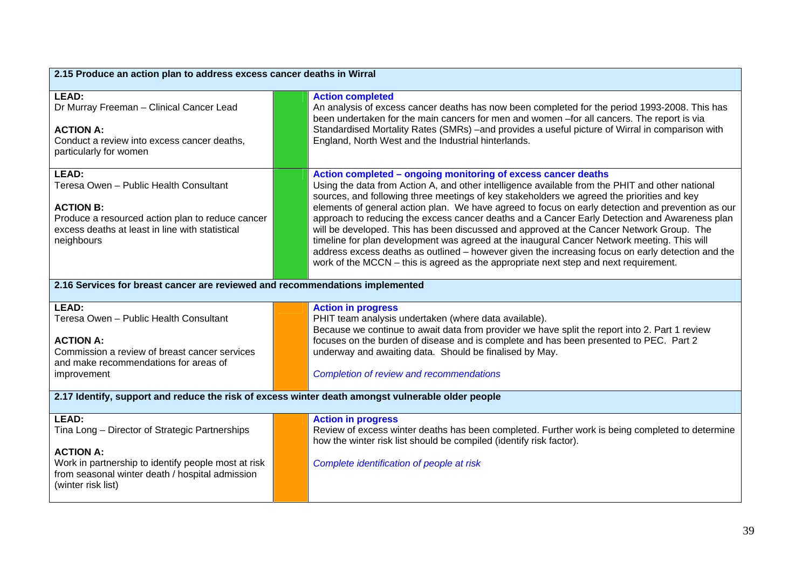| 2.15 Produce an action plan to address excess cancer deaths in Wirral                                                                                                                           |  |                                                                                                                                                                                                                                                                                                                                                                                                                                                                                                                                                                                                                                                                                                                                                                                                                                                              |
|-------------------------------------------------------------------------------------------------------------------------------------------------------------------------------------------------|--|--------------------------------------------------------------------------------------------------------------------------------------------------------------------------------------------------------------------------------------------------------------------------------------------------------------------------------------------------------------------------------------------------------------------------------------------------------------------------------------------------------------------------------------------------------------------------------------------------------------------------------------------------------------------------------------------------------------------------------------------------------------------------------------------------------------------------------------------------------------|
| LEAD:<br>Dr Murray Freeman - Clinical Cancer Lead<br><b>ACTION A:</b><br>Conduct a review into excess cancer deaths,<br>particularly for women                                                  |  | <b>Action completed</b><br>An analysis of excess cancer deaths has now been completed for the period 1993-2008. This has<br>been undertaken for the main cancers for men and women -for all cancers. The report is via<br>Standardised Mortality Rates (SMRs) -and provides a useful picture of Wirral in comparison with<br>England, North West and the Industrial hinterlands.                                                                                                                                                                                                                                                                                                                                                                                                                                                                             |
| <b>LEAD:</b><br>Teresa Owen - Public Health Consultant<br><b>ACTION B:</b><br>Produce a resourced action plan to reduce cancer<br>excess deaths at least in line with statistical<br>neighbours |  | Action completed - ongoing monitoring of excess cancer deaths<br>Using the data from Action A, and other intelligence available from the PHIT and other national<br>sources, and following three meetings of key stakeholders we agreed the priorities and key<br>elements of general action plan. We have agreed to focus on early detection and prevention as our<br>approach to reducing the excess cancer deaths and a Cancer Early Detection and Awareness plan<br>will be developed. This has been discussed and approved at the Cancer Network Group. The<br>timeline for plan development was agreed at the inaugural Cancer Network meeting. This will<br>address excess deaths as outlined - however given the increasing focus on early detection and the<br>work of the MCCN – this is agreed as the appropriate next step and next requirement. |
| 2.16 Services for breast cancer are reviewed and recommendations implemented                                                                                                                    |  |                                                                                                                                                                                                                                                                                                                                                                                                                                                                                                                                                                                                                                                                                                                                                                                                                                                              |
| <b>LEAD:</b><br>Teresa Owen - Public Health Consultant<br><b>ACTION A:</b><br>Commission a review of breast cancer services<br>and make recommendations for areas of<br>improvement             |  | <b>Action in progress</b><br>PHIT team analysis undertaken (where data available).<br>Because we continue to await data from provider we have split the report into 2. Part 1 review<br>focuses on the burden of disease and is complete and has been presented to PEC. Part 2<br>underway and awaiting data. Should be finalised by May.<br><b>Completion of review and recommendations</b>                                                                                                                                                                                                                                                                                                                                                                                                                                                                 |
| 2.17 Identify, support and reduce the risk of excess winter death amongst vulnerable older people                                                                                               |  |                                                                                                                                                                                                                                                                                                                                                                                                                                                                                                                                                                                                                                                                                                                                                                                                                                                              |
| LEAD:<br>Tina Long - Director of Strategic Partnerships<br><b>ACTION A:</b><br>Work in partnership to identify people most at risk                                                              |  | <b>Action in progress</b><br>Review of excess winter deaths has been completed. Further work is being completed to determine<br>how the winter risk list should be compiled (identify risk factor).                                                                                                                                                                                                                                                                                                                                                                                                                                                                                                                                                                                                                                                          |
| from seasonal winter death / hospital admission<br>(winter risk list)                                                                                                                           |  | Complete identification of people at risk                                                                                                                                                                                                                                                                                                                                                                                                                                                                                                                                                                                                                                                                                                                                                                                                                    |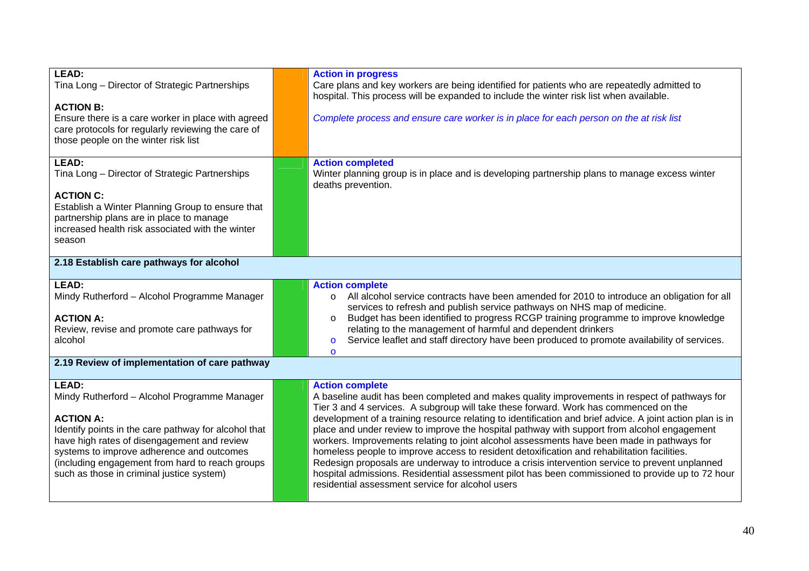| <b>LEAD:</b>                                                                             | <b>Action in progress</b>                                                                                                                                                                 |
|------------------------------------------------------------------------------------------|-------------------------------------------------------------------------------------------------------------------------------------------------------------------------------------------|
| Tina Long - Director of Strategic Partnerships                                           | Care plans and key workers are being identified for patients who are repeatedly admitted to                                                                                               |
| <b>ACTION B:</b>                                                                         | hospital. This process will be expanded to include the winter risk list when available.                                                                                                   |
| Ensure there is a care worker in place with agreed                                       | Complete process and ensure care worker is in place for each person on the at risk list                                                                                                   |
| care protocols for regularly reviewing the care of                                       |                                                                                                                                                                                           |
| those people on the winter risk list                                                     |                                                                                                                                                                                           |
| LEAD:                                                                                    | <b>Action completed</b>                                                                                                                                                                   |
| Tina Long - Director of Strategic Partnerships                                           | Winter planning group is in place and is developing partnership plans to manage excess winter                                                                                             |
|                                                                                          | deaths prevention.                                                                                                                                                                        |
| <b>ACTION C:</b><br>Establish a Winter Planning Group to ensure that                     |                                                                                                                                                                                           |
| partnership plans are in place to manage                                                 |                                                                                                                                                                                           |
| increased health risk associated with the winter                                         |                                                                                                                                                                                           |
| season                                                                                   |                                                                                                                                                                                           |
| 2.18 Establish care pathways for alcohol                                                 |                                                                                                                                                                                           |
|                                                                                          |                                                                                                                                                                                           |
| <b>LEAD:</b>                                                                             | <b>Action complete</b>                                                                                                                                                                    |
| Mindy Rutherford - Alcohol Programme Manager                                             | All alcohol service contracts have been amended for 2010 to introduce an obligation for all<br>$\circ$<br>services to refresh and publish service pathways on NHS map of medicine.        |
| <b>ACTION A:</b>                                                                         | Budget has been identified to progress RCGP training programme to improve knowledge<br>$\circ$                                                                                            |
| Review, revise and promote care pathways for                                             | relating to the management of harmful and dependent drinkers                                                                                                                              |
| alcohol                                                                                  | Service leaflet and staff directory have been produced to promote availability of services.<br>$\circ$<br>$\Omega$                                                                        |
| 2.19 Review of implementation of care pathway                                            |                                                                                                                                                                                           |
|                                                                                          |                                                                                                                                                                                           |
| LEAD:<br>Mindy Rutherford - Alcohol Programme Manager                                    | <b>Action complete</b><br>A baseline audit has been completed and makes quality improvements in respect of pathways for                                                                   |
|                                                                                          | Tier 3 and 4 services. A subgroup will take these forward. Work has commenced on the                                                                                                      |
| <b>ACTION A:</b>                                                                         | development of a training resource relating to identification and brief advice. A joint action plan is in                                                                                 |
| Identify points in the care pathway for alcohol that                                     | place and under review to improve the hospital pathway with support from alcohol engagement                                                                                               |
| have high rates of disengagement and review<br>systems to improve adherence and outcomes | workers. Improvements relating to joint alcohol assessments have been made in pathways for<br>homeless people to improve access to resident detoxification and rehabilitation facilities. |
| (including engagement from hard to reach groups                                          | Redesign proposals are underway to introduce a crisis intervention service to prevent unplanned                                                                                           |
| such as those in criminal justice system)                                                | hospital admissions. Residential assessment pilot has been commissioned to provide up to 72 hour                                                                                          |
|                                                                                          | residential assessment service for alcohol users                                                                                                                                          |
|                                                                                          |                                                                                                                                                                                           |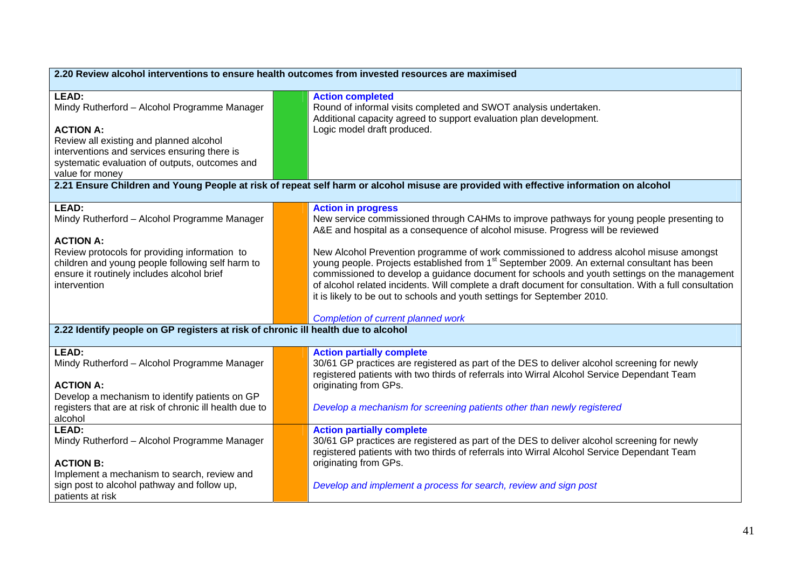| 2.20 Review alcohol interventions to ensure health outcomes from invested resources are maximised                                                                                                                                                   |  |                                                                                                                                                                                                                                                                                                                                                                                                                                                                                                                                                                                                                                                                                                       |
|-----------------------------------------------------------------------------------------------------------------------------------------------------------------------------------------------------------------------------------------------------|--|-------------------------------------------------------------------------------------------------------------------------------------------------------------------------------------------------------------------------------------------------------------------------------------------------------------------------------------------------------------------------------------------------------------------------------------------------------------------------------------------------------------------------------------------------------------------------------------------------------------------------------------------------------------------------------------------------------|
| LEAD:<br>Mindy Rutherford - Alcohol Programme Manager<br><b>ACTION A:</b><br>Review all existing and planned alcohol<br>interventions and services ensuring there is<br>systematic evaluation of outputs, outcomes and<br>value for money           |  | <b>Action completed</b><br>Round of informal visits completed and SWOT analysis undertaken.<br>Additional capacity agreed to support evaluation plan development.<br>Logic model draft produced.                                                                                                                                                                                                                                                                                                                                                                                                                                                                                                      |
|                                                                                                                                                                                                                                                     |  | 2.21 Ensure Children and Young People at risk of repeat self harm or alcohol misuse are provided with effective information on alcohol                                                                                                                                                                                                                                                                                                                                                                                                                                                                                                                                                                |
| <b>LEAD:</b><br>Mindy Rutherford - Alcohol Programme Manager<br><b>ACTION A:</b><br>Review protocols for providing information to<br>children and young people following self harm to<br>ensure it routinely includes alcohol brief<br>intervention |  | <b>Action in progress</b><br>New service commissioned through CAHMs to improve pathways for young people presenting to<br>A&E and hospital as a consequence of alcohol misuse. Progress will be reviewed<br>New Alcohol Prevention programme of work commissioned to address alcohol misuse amongst<br>young people. Projects established from 1 <sup>st</sup> September 2009. An external consultant has been<br>commissioned to develop a guidance document for schools and youth settings on the management<br>of alcohol related incidents. Will complete a draft document for consultation. With a full consultation<br>it is likely to be out to schools and youth settings for September 2010. |
| 2.22 Identify people on GP registers at risk of chronic ill health due to alcohol                                                                                                                                                                   |  | <b>Completion of current planned work</b>                                                                                                                                                                                                                                                                                                                                                                                                                                                                                                                                                                                                                                                             |
|                                                                                                                                                                                                                                                     |  |                                                                                                                                                                                                                                                                                                                                                                                                                                                                                                                                                                                                                                                                                                       |
| LEAD:<br>Mindy Rutherford - Alcohol Programme Manager<br><b>ACTION A:</b><br>Develop a mechanism to identify patients on GP<br>registers that are at risk of chronic ill health due to<br>alcohol                                                   |  | <b>Action partially complete</b><br>30/61 GP practices are registered as part of the DES to deliver alcohol screening for newly<br>registered patients with two thirds of referrals into Wirral Alcohol Service Dependant Team<br>originating from GPs.<br>Develop a mechanism for screening patients other than newly registered                                                                                                                                                                                                                                                                                                                                                                     |
| LEAD:<br>Mindy Rutherford - Alcohol Programme Manager<br><b>ACTION B:</b><br>Implement a mechanism to search, review and<br>sign post to alcohol pathway and follow up,<br>patients at risk                                                         |  | <b>Action partially complete</b><br>30/61 GP practices are registered as part of the DES to deliver alcohol screening for newly<br>registered patients with two thirds of referrals into Wirral Alcohol Service Dependant Team<br>originating from GPs.<br>Develop and implement a process for search, review and sign post                                                                                                                                                                                                                                                                                                                                                                           |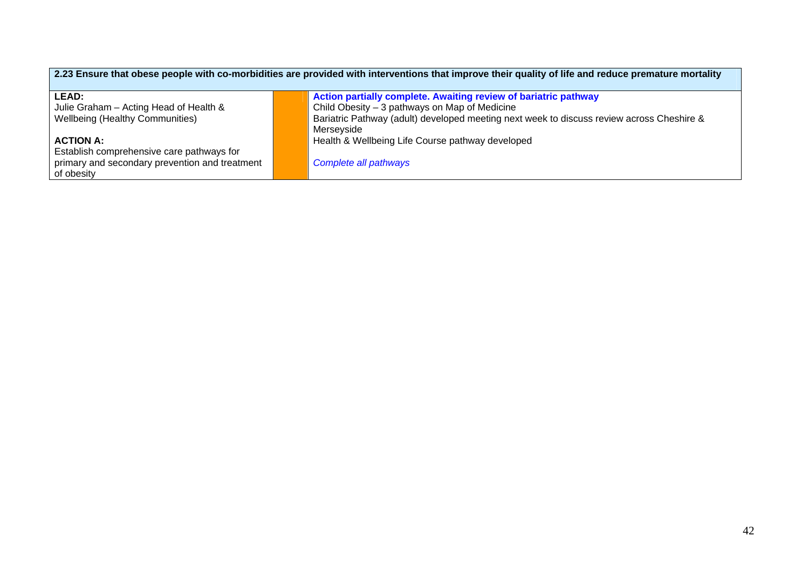| 2.23 Ensure that obese people with co-morbidities are provided with interventions that improve their quality of life and reduce premature mortality |                                                                                           |  |  |
|-----------------------------------------------------------------------------------------------------------------------------------------------------|-------------------------------------------------------------------------------------------|--|--|
| <b>LEAD:</b>                                                                                                                                        | Action partially complete. Awaiting review of bariatric pathway                           |  |  |
| Julie Graham - Acting Head of Health &                                                                                                              | Child Obesity $-3$ pathways on Map of Medicine                                            |  |  |
| <b>Wellbeing (Healthy Communities)</b>                                                                                                              | Bariatric Pathway (adult) developed meeting next week to discuss review across Cheshire & |  |  |
|                                                                                                                                                     | Merseyside                                                                                |  |  |
| <b>ACTION A:</b>                                                                                                                                    | Health & Wellbeing Life Course pathway developed                                          |  |  |
| Establish comprehensive care pathways for                                                                                                           |                                                                                           |  |  |
| primary and secondary prevention and treatment                                                                                                      | Complete all pathways                                                                     |  |  |
| of obesity                                                                                                                                          |                                                                                           |  |  |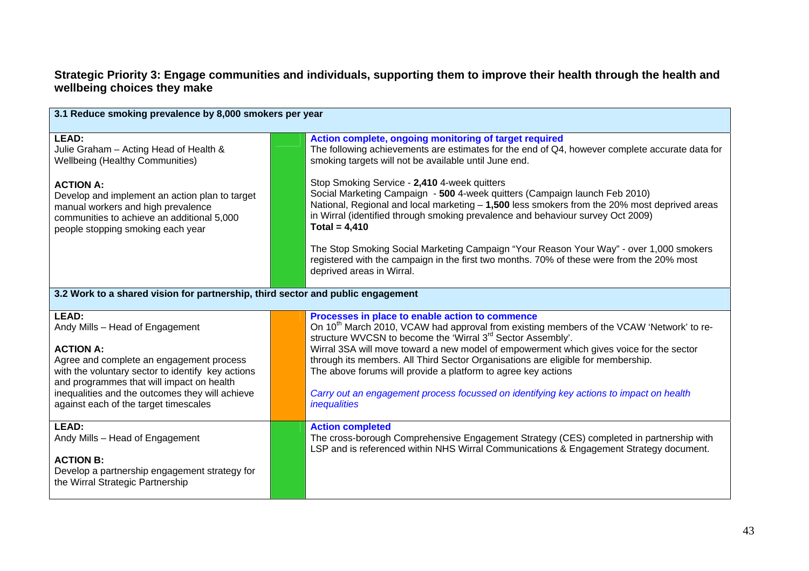## **Strategic Priority 3: Engage communities and individuals, supporting them to improve their health through the health and wellbeing choices they make**

| 3.1 Reduce smoking prevalence by 8,000 smokers per year                                                                                                                                                                                                                                                |                                                                                 |                                                                                                                                                                                                                                                                                                                                                                                                                                                                                                                                                                                                                                                 |  |
|--------------------------------------------------------------------------------------------------------------------------------------------------------------------------------------------------------------------------------------------------------------------------------------------------------|---------------------------------------------------------------------------------|-------------------------------------------------------------------------------------------------------------------------------------------------------------------------------------------------------------------------------------------------------------------------------------------------------------------------------------------------------------------------------------------------------------------------------------------------------------------------------------------------------------------------------------------------------------------------------------------------------------------------------------------------|--|
| LEAD:<br>Julie Graham - Acting Head of Health &<br><b>Wellbeing (Healthy Communities)</b><br><b>ACTION A:</b><br>Develop and implement an action plan to target<br>manual workers and high prevalence<br>communities to achieve an additional 5,000<br>people stopping smoking each year               |                                                                                 | Action complete, ongoing monitoring of target required<br>The following achievements are estimates for the end of Q4, however complete accurate data for<br>smoking targets will not be available until June end.<br>Stop Smoking Service - 2,410 4-week quitters<br>Social Marketing Campaign - 500 4-week quitters (Campaign launch Feb 2010)<br>National, Regional and local marketing - 1,500 less smokers from the 20% most deprived areas<br>in Wirral (identified through smoking prevalence and behaviour survey Oct 2009)<br>Total = $4,410$<br>The Stop Smoking Social Marketing Campaign "Your Reason Your Way" - over 1,000 smokers |  |
|                                                                                                                                                                                                                                                                                                        |                                                                                 | registered with the campaign in the first two months. 70% of these were from the 20% most<br>deprived areas in Wirral.                                                                                                                                                                                                                                                                                                                                                                                                                                                                                                                          |  |
|                                                                                                                                                                                                                                                                                                        | 3.2 Work to a shared vision for partnership, third sector and public engagement |                                                                                                                                                                                                                                                                                                                                                                                                                                                                                                                                                                                                                                                 |  |
| LEAD:<br>Andy Mills - Head of Engagement<br><b>ACTION A:</b><br>Agree and complete an engagement process<br>with the voluntary sector to identify key actions<br>and programmes that will impact on health<br>inequalities and the outcomes they will achieve<br>against each of the target timescales |                                                                                 | Processes in place to enable action to commence<br>On 10 <sup>th</sup> March 2010, VCAW had approval from existing members of the VCAW 'Network' to re-<br>structure WVCSN to become the 'Wirral 3 <sup>rd</sup> Sector Assembly'.<br>Wirral 3SA will move toward a new model of empowerment which gives voice for the sector<br>through its members. All Third Sector Organisations are eligible for membership.<br>The above forums will provide a platform to agree key actions<br>Carry out an engagement process focussed on identifying key actions to impact on health<br>inequalities                                                   |  |
| LEAD:<br>Andy Mills - Head of Engagement<br><b>ACTION B:</b><br>Develop a partnership engagement strategy for<br>the Wirral Strategic Partnership                                                                                                                                                      |                                                                                 | <b>Action completed</b><br>The cross-borough Comprehensive Engagement Strategy (CES) completed in partnership with<br>LSP and is referenced within NHS Wirral Communications & Engagement Strategy document.                                                                                                                                                                                                                                                                                                                                                                                                                                    |  |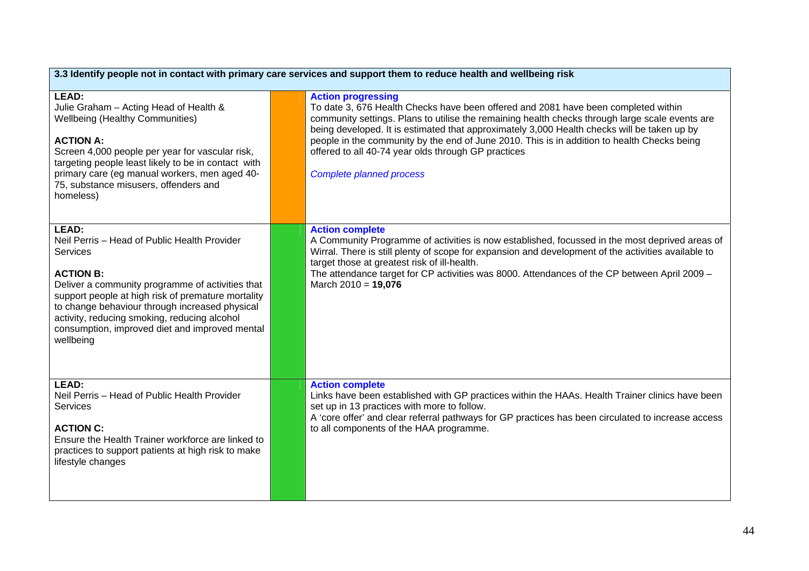| 3.3 Identify people not in contact with primary care services and support them to reduce health and wellbeing risk                                                                                                                                                                                                                                                      |  |                                                                                                                                                                                                                                                                                                                                                                                                                                                                                                            |
|-------------------------------------------------------------------------------------------------------------------------------------------------------------------------------------------------------------------------------------------------------------------------------------------------------------------------------------------------------------------------|--|------------------------------------------------------------------------------------------------------------------------------------------------------------------------------------------------------------------------------------------------------------------------------------------------------------------------------------------------------------------------------------------------------------------------------------------------------------------------------------------------------------|
| LEAD:<br>Julie Graham - Acting Head of Health &<br><b>Wellbeing (Healthy Communities)</b><br><b>ACTION A:</b><br>Screen 4,000 people per year for vascular risk,<br>targeting people least likely to be in contact with<br>primary care (eg manual workers, men aged 40-<br>75, substance misusers, offenders and<br>homeless)                                          |  | <b>Action progressing</b><br>To date 3, 676 Health Checks have been offered and 2081 have been completed within<br>community settings. Plans to utilise the remaining health checks through large scale events are<br>being developed. It is estimated that approximately 3,000 Health checks will be taken up by<br>people in the community by the end of June 2010. This is in addition to health Checks being<br>offered to all 40-74 year olds through GP practices<br><b>Complete planned process</b> |
| LEAD:<br>Neil Perris - Head of Public Health Provider<br><b>Services</b><br><b>ACTION B:</b><br>Deliver a community programme of activities that<br>support people at high risk of premature mortality<br>to change behaviour through increased physical<br>activity, reducing smoking, reducing alcohol<br>consumption, improved diet and improved mental<br>wellbeing |  | <b>Action complete</b><br>A Community Programme of activities is now established, focussed in the most deprived areas of<br>Wirral. There is still plenty of scope for expansion and development of the activities available to<br>target those at greatest risk of ill-health.<br>The attendance target for CP activities was 8000. Attendances of the CP between April 2009 -<br>March $2010 = 19,076$                                                                                                   |
| LEAD:<br>Neil Perris - Head of Public Health Provider<br><b>Services</b><br><b>ACTION C:</b><br>Ensure the Health Trainer workforce are linked to<br>practices to support patients at high risk to make<br>lifestyle changes                                                                                                                                            |  | <b>Action complete</b><br>Links have been established with GP practices within the HAAs. Health Trainer clinics have been<br>set up in 13 practices with more to follow.<br>A 'core offer' and clear referral pathways for GP practices has been circulated to increase access<br>to all components of the HAA programme.                                                                                                                                                                                  |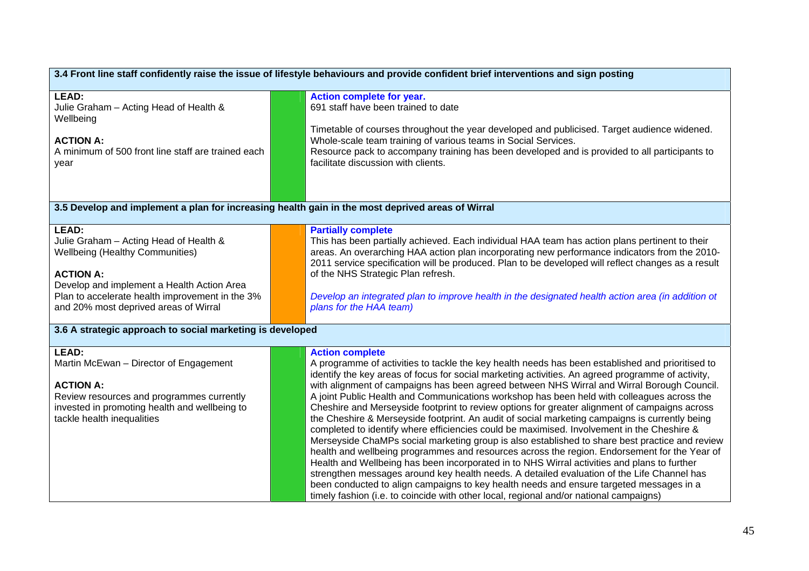| 3.4 Front line staff confidently raise the issue of lifestyle behaviours and provide confident brief interventions and sign posting                                                                                                                     |                                                                                                                                                                                                                                                                                                                                                                                                                                                                                                                                                                                                                                                                                                                                                                                                                                                                                                                                                                                                                                                                                                                                                                                                                                                                                                                  |  |
|---------------------------------------------------------------------------------------------------------------------------------------------------------------------------------------------------------------------------------------------------------|------------------------------------------------------------------------------------------------------------------------------------------------------------------------------------------------------------------------------------------------------------------------------------------------------------------------------------------------------------------------------------------------------------------------------------------------------------------------------------------------------------------------------------------------------------------------------------------------------------------------------------------------------------------------------------------------------------------------------------------------------------------------------------------------------------------------------------------------------------------------------------------------------------------------------------------------------------------------------------------------------------------------------------------------------------------------------------------------------------------------------------------------------------------------------------------------------------------------------------------------------------------------------------------------------------------|--|
| <b>LEAD:</b><br>Julie Graham - Acting Head of Health &<br>Wellbeing<br><b>ACTION A:</b><br>A minimum of 500 front line staff are trained each<br>year                                                                                                   | Action complete for year.<br>691 staff have been trained to date<br>Timetable of courses throughout the year developed and publicised. Target audience widened.<br>Whole-scale team training of various teams in Social Services.<br>Resource pack to accompany training has been developed and is provided to all participants to<br>facilitate discussion with clients.<br>3.5 Develop and implement a plan for increasing health gain in the most deprived areas of Wirral                                                                                                                                                                                                                                                                                                                                                                                                                                                                                                                                                                                                                                                                                                                                                                                                                                    |  |
|                                                                                                                                                                                                                                                         |                                                                                                                                                                                                                                                                                                                                                                                                                                                                                                                                                                                                                                                                                                                                                                                                                                                                                                                                                                                                                                                                                                                                                                                                                                                                                                                  |  |
| LEAD:<br>Julie Graham - Acting Head of Health &<br><b>Wellbeing (Healthy Communities)</b><br><b>ACTION A:</b><br>Develop and implement a Health Action Area<br>Plan to accelerate health improvement in the 3%<br>and 20% most deprived areas of Wirral | <b>Partially complete</b><br>This has been partially achieved. Each individual HAA team has action plans pertinent to their<br>areas. An overarching HAA action plan incorporating new performance indicators from the 2010-<br>2011 service specification will be produced. Plan to be developed will reflect changes as a result<br>of the NHS Strategic Plan refresh.<br>Develop an integrated plan to improve health in the designated health action area (in addition ot<br>plans for the HAA team)                                                                                                                                                                                                                                                                                                                                                                                                                                                                                                                                                                                                                                                                                                                                                                                                         |  |
| 3.6 A strategic approach to social marketing is developed                                                                                                                                                                                               |                                                                                                                                                                                                                                                                                                                                                                                                                                                                                                                                                                                                                                                                                                                                                                                                                                                                                                                                                                                                                                                                                                                                                                                                                                                                                                                  |  |
| <b>LEAD:</b><br>Martin McEwan - Director of Engagement<br><b>ACTION A:</b><br>Review resources and programmes currently<br>invested in promoting health and wellbeing to<br>tackle health inequalities                                                  | <b>Action complete</b><br>A programme of activities to tackle the key health needs has been established and prioritised to<br>identify the key areas of focus for social marketing activities. An agreed programme of activity,<br>with alignment of campaigns has been agreed between NHS Wirral and Wirral Borough Council.<br>A joint Public Health and Communications workshop has been held with colleagues across the<br>Cheshire and Merseyside footprint to review options for greater alignment of campaigns across<br>the Cheshire & Merseyside footprint. An audit of social marketing campaigns is currently being<br>completed to identify where efficiencies could be maximised. Involvement in the Cheshire &<br>Merseyside ChaMPs social marketing group is also established to share best practice and review<br>health and wellbeing programmes and resources across the region. Endorsement for the Year of<br>Health and Wellbeing has been incorporated in to NHS Wirral activities and plans to further<br>strengthen messages around key health needs. A detailed evaluation of the Life Channel has<br>been conducted to align campaigns to key health needs and ensure targeted messages in a<br>timely fashion (i.e. to coincide with other local, regional and/or national campaigns) |  |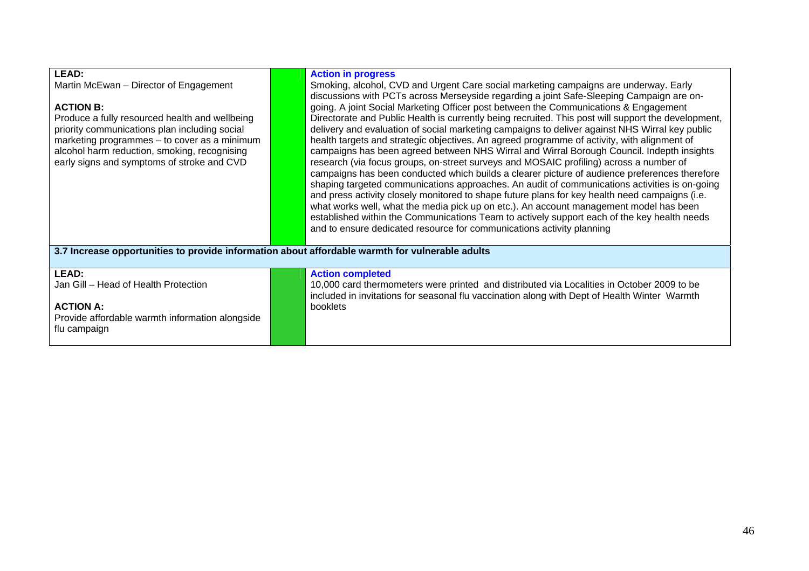| LEAD:<br>Martin McEwan - Director of Engagement<br><b>ACTION B:</b><br>Produce a fully resourced health and wellbeing<br>priority communications plan including social<br>marketing programmes - to cover as a minimum<br>alcohol harm reduction, smoking, recognising<br>early signs and symptoms of stroke and CVD | <b>Action in progress</b><br>Smoking, alcohol, CVD and Urgent Care social marketing campaigns are underway. Early<br>discussions with PCTs across Merseyside regarding a joint Safe-Sleeping Campaign are on-<br>going. A joint Social Marketing Officer post between the Communications & Engagement<br>Directorate and Public Health is currently being recruited. This post will support the development,<br>delivery and evaluation of social marketing campaigns to deliver against NHS Wirral key public<br>health targets and strategic objectives. An agreed programme of activity, with alignment of<br>campaigns has been agreed between NHS Wirral and Wirral Borough Council. Indepth insights<br>research (via focus groups, on-street surveys and MOSAIC profiling) across a number of<br>campaigns has been conducted which builds a clearer picture of audience preferences therefore<br>shaping targeted communications approaches. An audit of communications activities is on-going<br>and press activity closely monitored to shape future plans for key health need campaigns (i.e.<br>what works well, what the media pick up on etc.). An account management model has been<br>established within the Communications Team to actively support each of the key health needs<br>and to ensure dedicated resource for communications activity planning |
|----------------------------------------------------------------------------------------------------------------------------------------------------------------------------------------------------------------------------------------------------------------------------------------------------------------------|----------------------------------------------------------------------------------------------------------------------------------------------------------------------------------------------------------------------------------------------------------------------------------------------------------------------------------------------------------------------------------------------------------------------------------------------------------------------------------------------------------------------------------------------------------------------------------------------------------------------------------------------------------------------------------------------------------------------------------------------------------------------------------------------------------------------------------------------------------------------------------------------------------------------------------------------------------------------------------------------------------------------------------------------------------------------------------------------------------------------------------------------------------------------------------------------------------------------------------------------------------------------------------------------------------------------------------------------------------------------------|
| 3.7 Increase opportunities to provide information about affordable warmth for vulnerable adults                                                                                                                                                                                                                      |                                                                                                                                                                                                                                                                                                                                                                                                                                                                                                                                                                                                                                                                                                                                                                                                                                                                                                                                                                                                                                                                                                                                                                                                                                                                                                                                                                            |
| LEAD:<br>Jan Gill - Head of Health Protection<br><b>ACTION A:</b><br>Provide affordable warmth information alongside<br>flu campaign                                                                                                                                                                                 | <b>Action completed</b><br>10,000 card thermometers were printed and distributed via Localities in October 2009 to be<br>included in invitations for seasonal flu vaccination along with Dept of Health Winter Warmth<br>booklets                                                                                                                                                                                                                                                                                                                                                                                                                                                                                                                                                                                                                                                                                                                                                                                                                                                                                                                                                                                                                                                                                                                                          |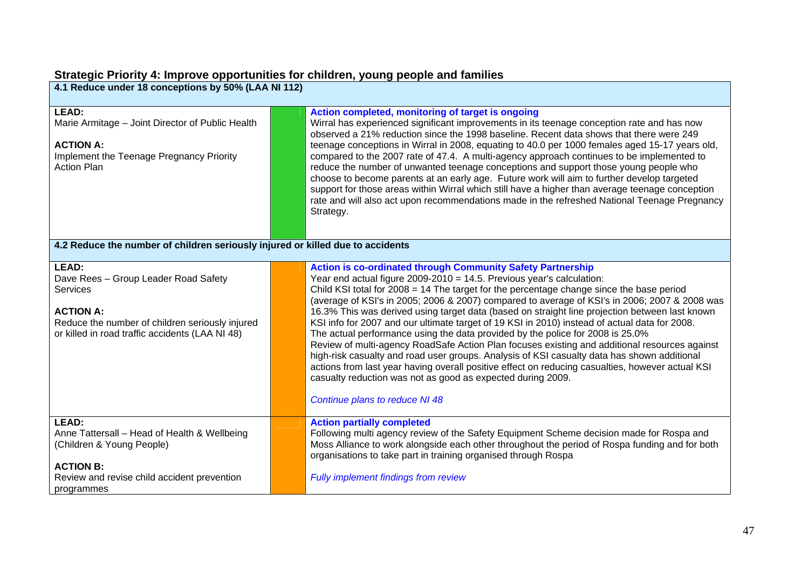# **Strategic Priority 4: Improve opportunities for children, young people and families**

| 4.1 Reduce under 18 conceptions by 50% (LAA NI 112) |  |
|-----------------------------------------------------|--|
|-----------------------------------------------------|--|

| <b>LEAD:</b><br>Marie Armitage - Joint Director of Public Health<br><b>ACTION A:</b><br>Implement the Teenage Pregnancy Priority<br><b>Action Plan</b> | Action completed, monitoring of target is ongoing<br>Wirral has experienced significant improvements in its teenage conception rate and has now<br>observed a 21% reduction since the 1998 baseline. Recent data shows that there were 249<br>teenage conceptions in Wirral in 2008, equating to 40.0 per 1000 females aged 15-17 years old,<br>compared to the 2007 rate of 47.4. A multi-agency approach continues to be implemented to<br>reduce the number of unwanted teenage conceptions and support those young people who<br>choose to become parents at an early age. Future work will aim to further develop targeted<br>support for those areas within Wirral which still have a higher than average teenage conception<br>rate and will also act upon recommendations made in the refreshed National Teenage Pregnancy<br>Strategy. |
|--------------------------------------------------------------------------------------------------------------------------------------------------------|-------------------------------------------------------------------------------------------------------------------------------------------------------------------------------------------------------------------------------------------------------------------------------------------------------------------------------------------------------------------------------------------------------------------------------------------------------------------------------------------------------------------------------------------------------------------------------------------------------------------------------------------------------------------------------------------------------------------------------------------------------------------------------------------------------------------------------------------------|
| 4.2 Reduce the number of children seriously injured or killed due to accidents                                                                         |                                                                                                                                                                                                                                                                                                                                                                                                                                                                                                                                                                                                                                                                                                                                                                                                                                                 |
| LEAD:                                                                                                                                                  | <b>Action is co-ordinated through Community Safety Partnership</b>                                                                                                                                                                                                                                                                                                                                                                                                                                                                                                                                                                                                                                                                                                                                                                              |
| Dave Rees - Group Leader Road Safety                                                                                                                   | Year end actual figure 2009-2010 = 14.5. Previous year's calculation:                                                                                                                                                                                                                                                                                                                                                                                                                                                                                                                                                                                                                                                                                                                                                                           |
| <b>Services</b>                                                                                                                                        | Child KSI total for $2008 = 14$ The target for the percentage change since the base period                                                                                                                                                                                                                                                                                                                                                                                                                                                                                                                                                                                                                                                                                                                                                      |
|                                                                                                                                                        | (average of KSI's in 2005; 2006 & 2007) compared to average of KSI's in 2006; 2007 & 2008 was                                                                                                                                                                                                                                                                                                                                                                                                                                                                                                                                                                                                                                                                                                                                                   |
| <b>ACTION A:</b>                                                                                                                                       | 16.3% This was derived using target data (based on straight line projection between last known                                                                                                                                                                                                                                                                                                                                                                                                                                                                                                                                                                                                                                                                                                                                                  |
| Reduce the number of children seriously injured                                                                                                        | KSI info for 2007 and our ultimate target of 19 KSI in 2010) instead of actual data for 2008.                                                                                                                                                                                                                                                                                                                                                                                                                                                                                                                                                                                                                                                                                                                                                   |
| or killed in road traffic accidents (LAA NI 48)                                                                                                        | The actual performance using the data provided by the police for 2008 is 25.0%                                                                                                                                                                                                                                                                                                                                                                                                                                                                                                                                                                                                                                                                                                                                                                  |
|                                                                                                                                                        | Review of multi-agency RoadSafe Action Plan focuses existing and additional resources against                                                                                                                                                                                                                                                                                                                                                                                                                                                                                                                                                                                                                                                                                                                                                   |
|                                                                                                                                                        | high-risk casualty and road user groups. Analysis of KSI casualty data has shown additional                                                                                                                                                                                                                                                                                                                                                                                                                                                                                                                                                                                                                                                                                                                                                     |
|                                                                                                                                                        | actions from last year having overall positive effect on reducing casualties, however actual KSI                                                                                                                                                                                                                                                                                                                                                                                                                                                                                                                                                                                                                                                                                                                                                |
|                                                                                                                                                        | casualty reduction was not as good as expected during 2009.                                                                                                                                                                                                                                                                                                                                                                                                                                                                                                                                                                                                                                                                                                                                                                                     |
|                                                                                                                                                        | Continue plans to reduce NI 48                                                                                                                                                                                                                                                                                                                                                                                                                                                                                                                                                                                                                                                                                                                                                                                                                  |
|                                                                                                                                                        |                                                                                                                                                                                                                                                                                                                                                                                                                                                                                                                                                                                                                                                                                                                                                                                                                                                 |
| LEAD:                                                                                                                                                  | <b>Action partially completed</b>                                                                                                                                                                                                                                                                                                                                                                                                                                                                                                                                                                                                                                                                                                                                                                                                               |
| Anne Tattersall - Head of Health & Wellbeing                                                                                                           | Following multi agency review of the Safety Equipment Scheme decision made for Rospa and                                                                                                                                                                                                                                                                                                                                                                                                                                                                                                                                                                                                                                                                                                                                                        |
| (Children & Young People)                                                                                                                              | Moss Alliance to work alongside each other throughout the period of Rospa funding and for both                                                                                                                                                                                                                                                                                                                                                                                                                                                                                                                                                                                                                                                                                                                                                  |
|                                                                                                                                                        | organisations to take part in training organised through Rospa                                                                                                                                                                                                                                                                                                                                                                                                                                                                                                                                                                                                                                                                                                                                                                                  |
| <b>ACTION B:</b>                                                                                                                                       |                                                                                                                                                                                                                                                                                                                                                                                                                                                                                                                                                                                                                                                                                                                                                                                                                                                 |
| Review and revise child accident prevention                                                                                                            | <b>Fully implement findings from review</b>                                                                                                                                                                                                                                                                                                                                                                                                                                                                                                                                                                                                                                                                                                                                                                                                     |
| programmes                                                                                                                                             |                                                                                                                                                                                                                                                                                                                                                                                                                                                                                                                                                                                                                                                                                                                                                                                                                                                 |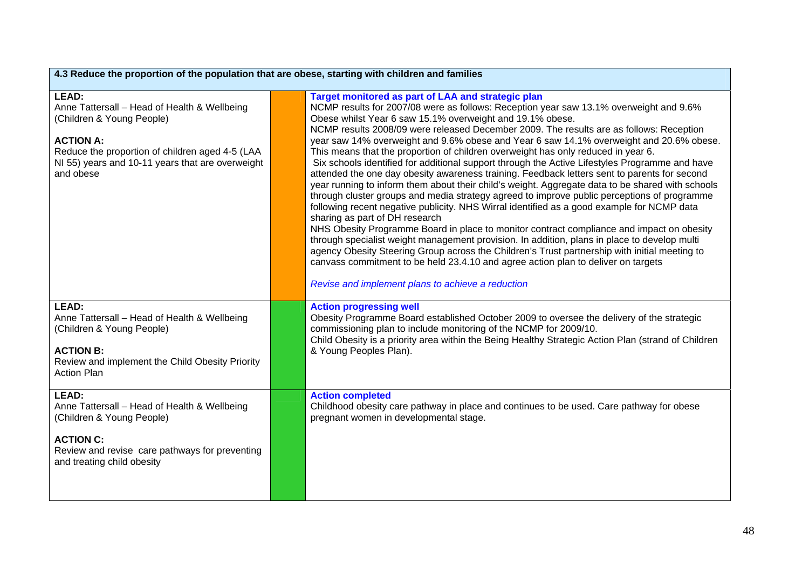| 4.3 Reduce the proportion of the population that are obese, starting with children and families                                                                                                                            |  |                                                                                                                                                                                                                                                                                                                                                                                                                                                                                                                                                                                                                                                                                                                                                                                                                                                                                                                                                                                                                                                                                                                                                                                                                                                                                                                                                                                                                                                                   |
|----------------------------------------------------------------------------------------------------------------------------------------------------------------------------------------------------------------------------|--|-------------------------------------------------------------------------------------------------------------------------------------------------------------------------------------------------------------------------------------------------------------------------------------------------------------------------------------------------------------------------------------------------------------------------------------------------------------------------------------------------------------------------------------------------------------------------------------------------------------------------------------------------------------------------------------------------------------------------------------------------------------------------------------------------------------------------------------------------------------------------------------------------------------------------------------------------------------------------------------------------------------------------------------------------------------------------------------------------------------------------------------------------------------------------------------------------------------------------------------------------------------------------------------------------------------------------------------------------------------------------------------------------------------------------------------------------------------------|
| LEAD:<br>Anne Tattersall - Head of Health & Wellbeing<br>(Children & Young People)<br><b>ACTION A:</b><br>Reduce the proportion of children aged 4-5 (LAA<br>NI 55) years and 10-11 years that are overweight<br>and obese |  | Target monitored as part of LAA and strategic plan<br>NCMP results for 2007/08 were as follows: Reception year saw 13.1% overweight and 9.6%<br>Obese whilst Year 6 saw 15.1% overweight and 19.1% obese.<br>NCMP results 2008/09 were released December 2009. The results are as follows: Reception<br>year saw 14% overweight and 9.6% obese and Year 6 saw 14.1% overweight and 20.6% obese.<br>This means that the proportion of children overweight has only reduced in year 6.<br>Six schools identified for additional support through the Active Lifestyles Programme and have<br>attended the one day obesity awareness training. Feedback letters sent to parents for second<br>year running to inform them about their child's weight. Aggregate data to be shared with schools<br>through cluster groups and media strategy agreed to improve public perceptions of programme<br>following recent negative publicity. NHS Wirral identified as a good example for NCMP data<br>sharing as part of DH research<br>NHS Obesity Programme Board in place to monitor contract compliance and impact on obesity<br>through specialist weight management provision. In addition, plans in place to develop multi<br>agency Obesity Steering Group across the Children's Trust partnership with initial meeting to<br>canvass commitment to be held 23.4.10 and agree action plan to deliver on targets<br>Revise and implement plans to achieve a reduction |
| LEAD:<br>Anne Tattersall - Head of Health & Wellbeing<br>(Children & Young People)<br><b>ACTION B:</b><br>Review and implement the Child Obesity Priority<br><b>Action Plan</b>                                            |  | <b>Action progressing well</b><br>Obesity Programme Board established October 2009 to oversee the delivery of the strategic<br>commissioning plan to include monitoring of the NCMP for 2009/10.<br>Child Obesity is a priority area within the Being Healthy Strategic Action Plan (strand of Children<br>& Young Peoples Plan).                                                                                                                                                                                                                                                                                                                                                                                                                                                                                                                                                                                                                                                                                                                                                                                                                                                                                                                                                                                                                                                                                                                                 |
| LEAD:<br>Anne Tattersall - Head of Health & Wellbeing<br>(Children & Young People)<br><b>ACTION C:</b><br>Review and revise care pathways for preventing<br>and treating child obesity                                     |  | <b>Action completed</b><br>Childhood obesity care pathway in place and continues to be used. Care pathway for obese<br>pregnant women in developmental stage.                                                                                                                                                                                                                                                                                                                                                                                                                                                                                                                                                                                                                                                                                                                                                                                                                                                                                                                                                                                                                                                                                                                                                                                                                                                                                                     |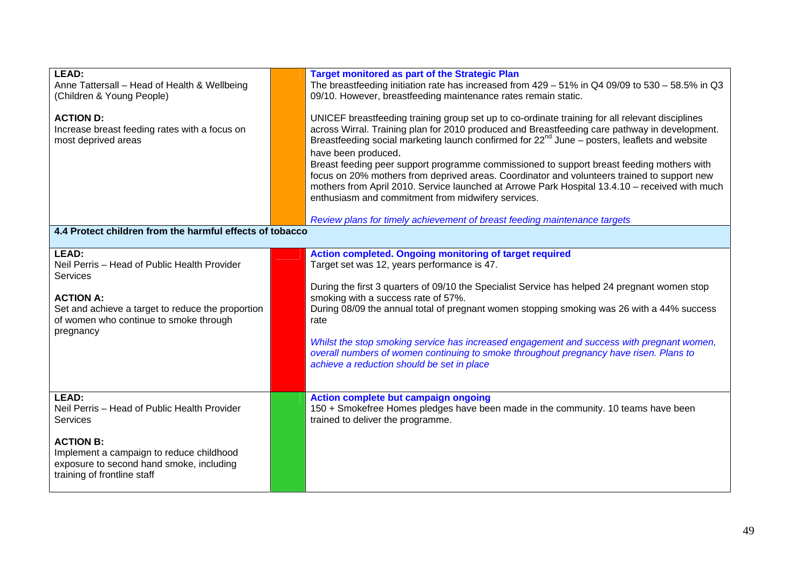| LEAD:<br>Anne Tattersall - Head of Health & Wellbeing<br>(Children & Young People)                                                                                                                              | <b>Target monitored as part of the Strategic Plan</b><br>The breastfeeding initiation rate has increased from $429 - 51\%$ in Q4 09/09 to 530 - 58.5% in Q3<br>09/10. However, breastfeeding maintenance rates remain static.                                                                                                                                                                                                                                                                                                                                                                                                                                                                                                                                         |
|-----------------------------------------------------------------------------------------------------------------------------------------------------------------------------------------------------------------|-----------------------------------------------------------------------------------------------------------------------------------------------------------------------------------------------------------------------------------------------------------------------------------------------------------------------------------------------------------------------------------------------------------------------------------------------------------------------------------------------------------------------------------------------------------------------------------------------------------------------------------------------------------------------------------------------------------------------------------------------------------------------|
| <b>ACTION D:</b><br>Increase breast feeding rates with a focus on<br>most deprived areas<br>4.4 Protect children from the harmful effects of tobacco                                                            | UNICEF breastfeeding training group set up to co-ordinate training for all relevant disciplines<br>across Wirral. Training plan for 2010 produced and Breastfeeding care pathway in development.<br>Breastfeeding social marketing launch confirmed for 22 <sup>nd</sup> June – posters, leaflets and website<br>have been produced.<br>Breast feeding peer support programme commissioned to support breast feeding mothers with<br>focus on 20% mothers from deprived areas. Coordinator and volunteers trained to support new<br>mothers from April 2010. Service launched at Arrowe Park Hospital 13.4.10 - received with much<br>enthusiasm and commitment from midwifery services.<br>Review plans for timely achievement of breast feeding maintenance targets |
|                                                                                                                                                                                                                 |                                                                                                                                                                                                                                                                                                                                                                                                                                                                                                                                                                                                                                                                                                                                                                       |
| <b>LEAD:</b><br>Neil Perris - Head of Public Health Provider<br><b>Services</b><br><b>ACTION A:</b><br>Set and achieve a target to reduce the proportion<br>of women who continue to smoke through<br>pregnancy | Action completed. Ongoing monitoring of target required<br>Target set was 12, years performance is 47.<br>During the first 3 quarters of 09/10 the Specialist Service has helped 24 pregnant women stop<br>smoking with a success rate of 57%.<br>During 08/09 the annual total of pregnant women stopping smoking was 26 with a 44% success<br>rate<br>Whilst the stop smoking service has increased engagement and success with pregnant women,<br>overall numbers of women continuing to smoke throughout pregnancy have risen. Plans to<br>achieve a reduction should be set in place                                                                                                                                                                             |
| LEAD:<br>Neil Perris - Head of Public Health Provider<br><b>Services</b>                                                                                                                                        | Action complete but campaign ongoing<br>150 + Smokefree Homes pledges have been made in the community. 10 teams have been<br>trained to deliver the programme.                                                                                                                                                                                                                                                                                                                                                                                                                                                                                                                                                                                                        |
| <b>ACTION B:</b><br>Implement a campaign to reduce childhood<br>exposure to second hand smoke, including<br>training of frontline staff                                                                         |                                                                                                                                                                                                                                                                                                                                                                                                                                                                                                                                                                                                                                                                                                                                                                       |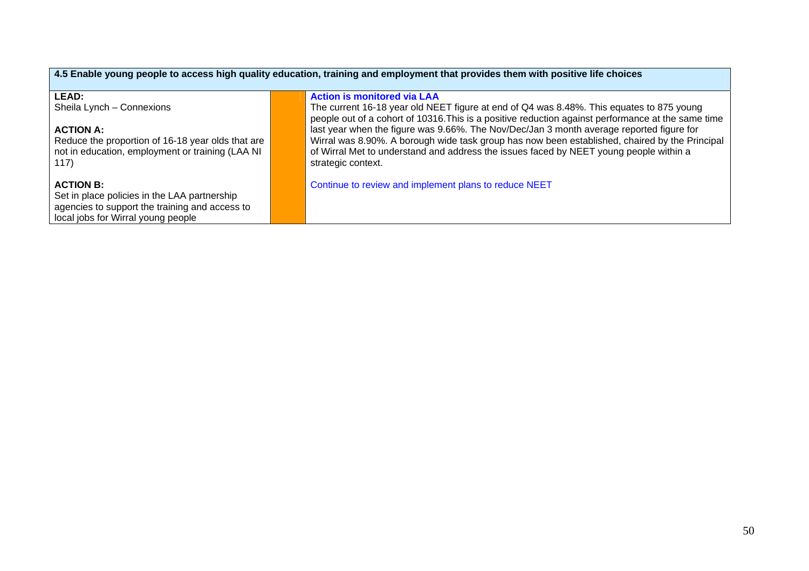| 4.5 Enable young people to access high quality education, training and employment that provides them with positive life choices |  |                                                                                                    |  |
|---------------------------------------------------------------------------------------------------------------------------------|--|----------------------------------------------------------------------------------------------------|--|
| <b>LEAD:</b>                                                                                                                    |  | <b>Action is monitored via LAA</b>                                                                 |  |
| Sheila Lynch - Connexions                                                                                                       |  | The current 16-18 year old NEET figure at end of Q4 was 8.48%. This equates to 875 young           |  |
|                                                                                                                                 |  | people out of a cohort of 10316. This is a positive reduction against performance at the same time |  |
| <b>ACTION A:</b>                                                                                                                |  | last year when the figure was 9.66%. The Nov/Dec/Jan 3 month average reported figure for           |  |
| Reduce the proportion of 16-18 year olds that are                                                                               |  | Wirral was 8.90%. A borough wide task group has now been established, chaired by the Principal     |  |
| not in education, employment or training (LAA NI                                                                                |  | of Wirral Met to understand and address the issues faced by NEET young people within a             |  |
| 117)                                                                                                                            |  | strategic context.                                                                                 |  |
|                                                                                                                                 |  |                                                                                                    |  |
| <b>ACTION B:</b>                                                                                                                |  | Continue to review and implement plans to reduce NEET                                              |  |
| Set in place policies in the LAA partnership                                                                                    |  |                                                                                                    |  |
| agencies to support the training and access to                                                                                  |  |                                                                                                    |  |
| local jobs for Wirral young people                                                                                              |  |                                                                                                    |  |